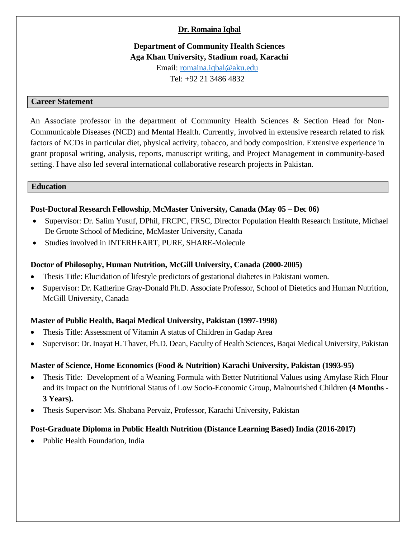# **Dr. Romaina Iqbal**

**Department of Community Health Sciences Aga Khan University, Stadium road, Karachi**

Email: [romaina.iqbal@aku.edu](mailto:romaina.iqbal@aku.edu) Tel: +92 21 3486 4832

#### **Career Statement**

An Associate professor in the department of Community Health Sciences & Section Head for Non-Communicable Diseases (NCD) and Mental Health. Currently, involved in extensive research related to risk factors of NCDs in particular diet, physical activity, tobacco, and body composition. Extensive experience in grant proposal writing, analysis, reports, manuscript writing, and Project Management in community-based setting. I have also led several international collaborative research projects in Pakistan.

#### **Education**

### **Post-Doctoral Research Fellowship**, **McMaster University, Canada (May 05 – Dec 06)**

- Supervisor: Dr. Salim Yusuf, DPhil, FRCPC, FRSC, Director Population Health Research Institute, Michael De Groote School of Medicine, McMaster University, Canada
- Studies involved in INTERHEART, PURE, SHARE-Molecule

#### **Doctor of Philosophy, Human Nutrition, McGill University, Canada (2000-2005)**

- Thesis Title: Elucidation of lifestyle predictors of gestational diabetes in Pakistani women.
- Supervisor: Dr. Katherine Gray-Donald Ph.D. Associate Professor, School of Dietetics and Human Nutrition, McGill University, Canada

## **Master of Public Health, Baqai Medical University, Pakistan (1997-1998)**

- Thesis Title: Assessment of Vitamin A status of Children in Gadap Area
- Supervisor: Dr. Inayat H. Thaver, Ph.D. Dean, Faculty of Health Sciences, Baqai Medical University, Pakistan

## **Master of Science, Home Economics (Food & Nutrition) Karachi University, Pakistan (1993-95)**

- Thesis Title: Development of a Weaning Formula with Better Nutritional Values using Amylase Rich Flour and its Impact on the Nutritional Status of Low Socio-Economic Group, Malnourished Children **(4 Months - 3 Years).**
- Thesis Supervisor: Ms. Shabana Pervaiz, Professor, Karachi University, Pakistan

#### **Post-Graduate Diploma in Public Health Nutrition (Distance Learning Based) India (2016-2017)**

• Public Health Foundation, India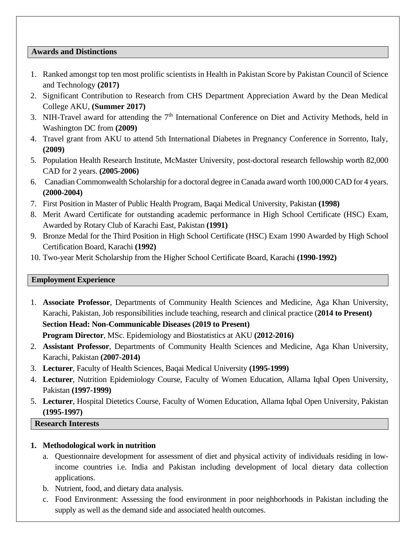### **Awards and Distinctions**

- 1. Ranked amongst top ten most prolific scientists in Health in Pakistan Score by Pakistan Council of Science and Technology **(2017)**
- 2. Significant Contribution to Research from CHS Department Appreciation Award by the Dean Medical College AKU, **(Summer 2017)**
- 3. NIH-Travel award for attending the  $7<sup>th</sup>$  International Conference on Diet and Activity Methods, held in Washington DC from **(2009)**
- 4. Travel grant from AKU to attend 5th International Diabetes in Pregnancy Conference in Sorrento, Italy, **(2009)**
- 5. Population Health Research Institute, McMaster University, post-doctoral research fellowship worth 82,000 CAD for 2 years. **(2005-2006)**
- 6. Canadian Commonwealth Scholarship for a doctoral degree in Canada award worth 100,000 CAD for 4 years. **(2000-2004)**
- 7. First Position in Master of Public Health Program, Baqai Medical University, Pakistan **(1998)**
- 8. Merit Award Certificate for outstanding academic performance in High School Certificate (HSC) Exam, Awarded by Rotary Club of Karachi East, Pakistan **(1991)**
- 9. Bronze Medal for the Third Position in High School Certificate (HSC) Exam 1990 Awarded by High School Certification Board, Karachi **(1992)**
- 10. Two-year Merit Scholarship from the Higher School Certificate Board, Karachi **(1990-1992)**

## **Employment Experience**

- 1. **Associate Professor**, Departments of Community Health Sciences and Medicine, Aga Khan University, Karachi, Pakistan, Job responsibilities include teaching, research and clinical practice (**2014 to Present) Section Head: Non-Communicable Diseases (2019 to Present) Program Director**, MSc. Epidemiology and Biostatistics at AKU **(2012-2016)**
- 2. **Assistant Professor**, Departments of Community Health Sciences and Medicine, Aga Khan University, Karachi, Pakistan **(2007-2014)**
- 3. **Lecturer**, Faculty of Health Sciences, Baqai Medical University **(1995-1999)**
- 4. **Lecturer**, Nutrition Epidemiology Course, Faculty of Women Education, Allama Iqbal Open University, Pakistan **(1997-1999)**
- 5. **Lecturer**, Hospital Dietetics Course, Faculty of Women Education, Allama Iqbal Open University, Pakistan **(1995-1997)**

**Research Interests**

## **1. Methodological work in nutrition**

- a. Questionnaire development for assessment of diet and physical activity of individuals residing in lowincome countries i.e. India and Pakistan including development of local dietary data collection applications.
- b. Nutrient, food, and dietary data analysis.
- c. Food Environment: Assessing the food environment in poor neighborhoods in Pakistan including the supply as well as the demand side and associated health outcomes.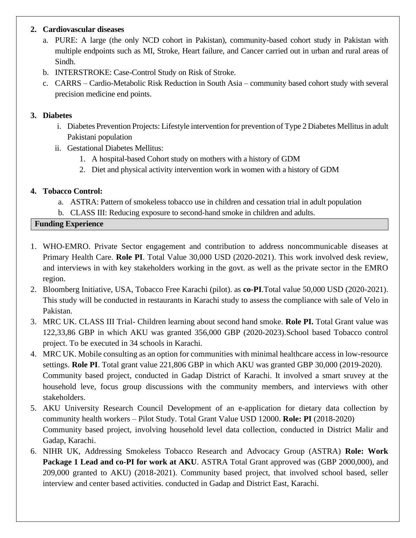# **2. Cardiovascular diseases**

- a. PURE: A large (the only NCD cohort in Pakistan), community-based cohort study in Pakistan with multiple endpoints such as MI, Stroke, Heart failure, and Cancer carried out in urban and rural areas of Sindh.
- b. INTERSTROKE: Case-Control Study on Risk of Stroke.
- c. CARRS Cardio-Metabolic Risk Reduction in South Asia community based cohort study with several precision medicine end points.

## **3. Diabetes**

- i. Diabetes Prevention Projects: Lifestyle intervention for prevention of Type 2 Diabetes Mellitus in adult Pakistani population
- ii. Gestational Diabetes Mellitus:
	- 1. A hospital-based Cohort study on mothers with a history of GDM
	- 2. Diet and physical activity intervention work in women with a history of GDM

# **4. Tobacco Control:**

- a. ASTRA: Pattern of smokeless tobacco use in children and cessation trial in adult population
- b. CLASS III: Reducing exposure to second-hand smoke in children and adults.

## **Funding Experience**

- 1. WHO-EMRO. Private Sector engagement and contribution to address noncommunicable diseases at Primary Health Care. **Role PI**. Total Value 30,000 USD (2020-2021). This work involved desk review, and interviews in with key stakeholders working in the govt. as well as the private sector in the EMRO region.
- 2. Bloomberg Initiative, USA, Tobacco Free Karachi (pilot). as **co-PI**.Total value 50,000 USD (2020-2021). This study will be conducted in restaurants in Karachi study to assess the compliance with sale of Velo in Pakistan.
- 3. MRC UK. CLASS III Trial- Children learning about second hand smoke. **Role PI.** Total Grant value was 122,33,86 GBP in which AKU was granted 356,000 GBP (2020-2023).School based Tobacco control project. To be executed in 34 schools in Karachi.
- 4. MRC UK. Mobile consulting as an option for communities with minimal healthcare access in low-resource settings. **Role PI**. Total grant value 221,806 GBP in which AKU was granted GBP 30,000 (2019-2020). Community based project, conducted in Gadap District of Karachi. It involved a smart sruvey at the household leve, focus group discussions with the community members, and interviews with other stakeholders.
- 5. AKU University Research Council Development of an e-application for dietary data collection by community health workers – Pilot Study. Total Grant Value USD 12000. **Role: PI** (2018-2020) Community based project, involving household level data collection, conducted in District Malir and Gadap, Karachi.
- 6. NIHR UK, Addressing Smokeless Tobacco Research and Advocacy Group (ASTRA) **Role: Work Package 1 Lead and co-PI for work at AKU.** ASTRA Total Grant approved was (GBP 2000,000), and 209,000 granted to AKU) (2018-2021). Community based project, that involved school based, seller interview and center based activities. conducted in Gadap and District East, Karachi.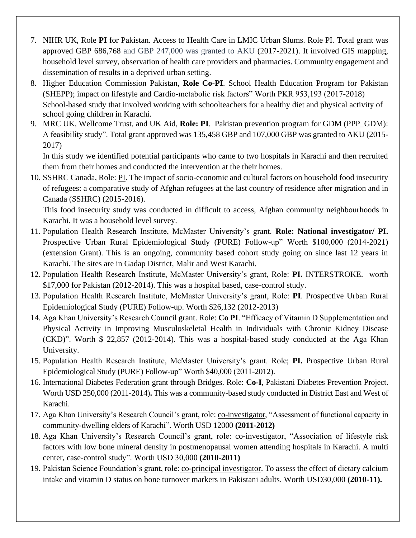- 7. NIHR UK, Role **PI** for Pakistan. Access to Health Care in LMIC Urban Slums. Role PI. Total grant was approved GBP 686,768 and GBP 247,000 was granted to AKU (2017-2021). It involved GIS mapping, household level survey, observation of health care providers and pharmacies. Community engagement and dissemination of results in a deprived urban setting.
- 8. Higher Education Commission Pakistan, **Role Co-PI**. School Health Education Program for Pakistan (SHEPP); impact on lifestyle and Cardio-metabolic risk factors" Worth PKR 953,193 (2017-2018) School-based study that involved working with schoolteachers for a healthy diet and physical activity of school going children in Karachi.
- 9. MRC UK, Wellcome Trust, and UK Aid, **Role: PI**. Pakistan prevention program for GDM (PPP\_GDM): A feasibility study". Total grant approved was 135,458 GBP and 107,000 GBP was granted to AKU (2015- 2017)

In this study we identified potential participants who came to two hospitals in Karachi and then recruited them from their homes and conducted the intervention at the their homes.

10. SSHRC Canada, Role: PI. The impact of socio-economic and cultural factors on household food insecurity of refugees: a comparative study of Afghan refugees at the last country of residence after migration and in Canada (SSHRC) (2015-2016).

This food insecurity study was conducted in difficult to access, Afghan community neighbourhoods in Karachi. It was a household level survey.

- 11. Population Health Research Institute, McMaster University's grant. **Role: National investigator/ PI.**  Prospective Urban Rural Epidemiological Study (PURE) Follow-up" Worth \$100,000 (2014-2021) (extension Grant). This is an ongoing, community based cohort study going on since last 12 years in Karachi. The sites are in Gadap District, Malir and West Karachi.
- 12. Population Health Research Institute, McMaster University's grant, Role: **PI.** INTERSTROKE. worth \$17,000 for Pakistan (2012-2014). This was a hospital based, case-control study.
- 13. Population Health Research Institute, McMaster University's grant, Role: **PI**. Prospective Urban Rural Epidemiological Study (PURE) Follow-up. Worth \$26,132 (2012-2013)
- 14. Aga Khan University's Research Council grant. Role: **Co PI**. "Efficacy of Vitamin D Supplementation and Physical Activity in Improving Musculoskeletal Health in Individuals with Chronic Kidney Disease (CKD)". Worth \$ 22,857 (2012-2014). This was a hospital-based study conducted at the Aga Khan University.
- 15. Population Health Research Institute, McMaster University's grant. Role; **PI.** Prospective Urban Rural Epidemiological Study (PURE) Follow-up" Worth \$40,000 (2011-2012).
- 16. International Diabetes Federation grant through Bridges. Role: **Co-I**, Pakistani Diabetes Prevention Project. Worth USD 250,000 (2011-2014)**.** This was a community-based study conducted in District East and West of Karachi.
- 17. Aga Khan University's Research Council's grant, role: co-investigator, "Assessment of functional capacity in community-dwelling elders of Karachi". Worth USD 12000 **(2011-2012)**
- 18. Aga Khan University's Research Council's grant, role: co-investigator, "Association of lifestyle risk factors with low bone mineral density in postmenopausal women attending hospitals in Karachi. A multi center, case-control study". Worth USD 30,000 **(2010-2011)**
- 19. Pakistan Science Foundation's grant, role: co-principal investigator. To assess the effect of dietary calcium intake and vitamin D status on bone turnover markers in Pakistani adults. Worth USD30,000 **(2010-11).**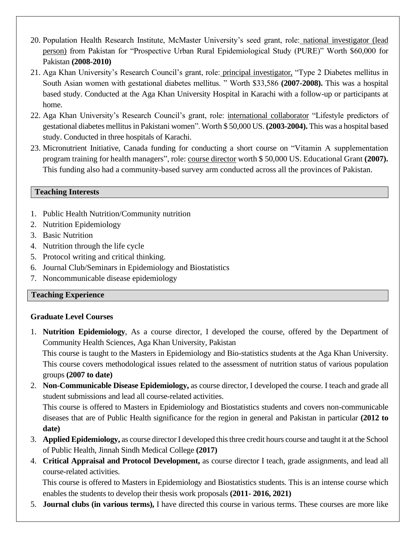- 20. Population Health Research Institute, McMaster University's seed grant, role: national investigator (lead person) from Pakistan for "Prospective Urban Rural Epidemiological Study (PURE)" Worth \$60,000 for Pakistan **(2008-2010)**
- 21. Aga Khan University's Research Council's grant, role: principal investigator, "Type 2 Diabetes mellitus in South Asian women with gestational diabetes mellitus. " Worth \$33,586 **(2007-2008).** This was a hospital based study. Conducted at the Aga Khan University Hospital in Karachi with a follow-up or participants at home.
- 22. Aga Khan University's Research Council's grant, role: international collaborator "Lifestyle predictors of gestational diabetes mellitus in Pakistani women". Worth \$ 50,000 US. **(2003-2004).** This was a hospital based study. Conducted in three hospitals of Karachi.
- 23. Micronutrient Initiative, Canada funding for conducting a short course on "Vitamin A supplementation program training for health managers", role: course director worth \$ 50,000 US. Educational Grant **(2007).**  This funding also had a community-based survey arm conducted across all the provinces of Pakistan.

# **Teaching Interests**

- 1. Public Health Nutrition/Community nutrition
- 2. Nutrition Epidemiology
- 3. Basic Nutrition
- 4. Nutrition through the life cycle
- 5. Protocol writing and critical thinking.
- 6. Journal Club/Seminars in Epidemiology and Biostatistics
- 7. Noncommunicable disease epidemiology

# **Teaching Experience**

## **Graduate Level Courses**

1. **Nutrition Epidemiology**, As a course director, I developed the course, offered by the Department of Community Health Sciences, Aga Khan University, Pakistan

This course is taught to the Masters in Epidemiology and Bio-statistics students at the Aga Khan University. This course covers methodological issues related to the assessment of nutrition status of various population groups **(2007 to date)**

2. **Non-Communicable Disease Epidemiology,** as course director, I developed the course. I teach and grade all student submissions and lead all course-related activities.

This course is offered to Masters in Epidemiology and Biostatistics students and covers non-communicable diseases that are of Public Health significance for the region in general and Pakistan in particular **(2012 to date)**

- 3. **Applied Epidemiology,** as course director I developed this three credit hours course and taught it at the School of Public Health, Jinnah Sindh Medical College **(2017)**
- 4. **Critical Appraisal and Protocol Development,** as course director I teach, grade assignments, and lead all course-related activities.

This course is offered to Masters in Epidemiology and Biostatistics students. This is an intense course which enables the students to develop their thesis work proposals **(2011- 2016, 2021)**

5. **Journal clubs (in various terms),** I have directed this course in various terms. These courses are more like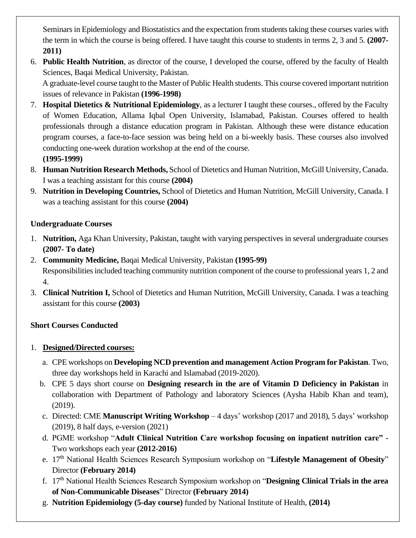Seminars in Epidemiology and Biostatistics and the expectation from students taking these courses varies with the term in which the course is being offered. I have taught this course to students in terms 2, 3 and 5. **(2007- 2011)**

6. **Public Health Nutrition**, as director of the course, I developed the course, offered by the faculty of Health Sciences, Baqai Medical University, Pakistan.

A graduate-level course taught to the Master of Public Health students. This course covered important nutrition issues of relevance in Pakistan **(1996-1998)**

- 7. **Hospital Dietetics & Nutritional Epidemiology**, as a lecturer I taught these courses., offered by the Faculty of Women Education, Allama Iqbal Open University, Islamabad, Pakistan. Courses offered to health professionals through a distance education program in Pakistan. Although these were distance education program courses, a face-to-face session was being held on a bi-weekly basis. These courses also involved conducting one-week duration workshop at the end of the course. **(1995-1999)**
- 8. **Human Nutrition Research Methods,** School of Dietetics and Human Nutrition, McGill University, Canada. I was a teaching assistant for this course **(2004)**
- 9. **Nutrition in Developing Countries,** School of Dietetics and Human Nutrition, McGill University, Canada. I was a teaching assistant for this course **(2004)**

# **Undergraduate Courses**

- 1. **Nutrition,** Aga Khan University, Pakistan, taught with varying perspectives in several undergraduate courses **(2007- To date)**
- 2. **Community Medicine,** Baqai Medical University, Pakistan **(1995-99)** Responsibilities included teaching community nutrition component of the course to professional years 1, 2 and 4.
- 3. **Clinical Nutrition I,** School of Dietetics and Human Nutrition, McGill University, Canada. I was a teaching assistant for this course **(2003)**

# **Short Courses Conducted**

- 1. **Designed/Directed courses:**
	- a. CPE workshops on **Developing NCD prevention and management Action Program for Pakistan**. Two, three day workshops held in Karachi and Islamabad (2019-2020).
	- b. CPE 5 days short course on **Designing research in the are of Vitamin D Deficiency in Pakistan** in collaboration with Department of Pathology and laboratory Sciences (Aysha Habib Khan and team), (2019).
	- c. Directed: CME **Manuscript Writing Workshop**  4 days' workshop (2017 and 2018), 5 days' workshop (2019), 8 half days, e-version (2021)
	- d. PGME workshop "**Adult Clinical Nutrition Care workshop focusing on inpatient nutrition care" -** Two workshops each year **(2012-2016)**
	- e. 17th National Health Sciences Research Symposium workshop on "**Lifestyle Management of Obesity**" Director **(February 2014)**
	- f. 17th National Health Sciences Research Symposium workshop on "**Designing Clinical Trials in the area of Non-Communicable Diseases**" Director **(February 2014)**
	- g. **Nutrition Epidemiology (5-day course)** funded by National Institute of Health, **(2014)**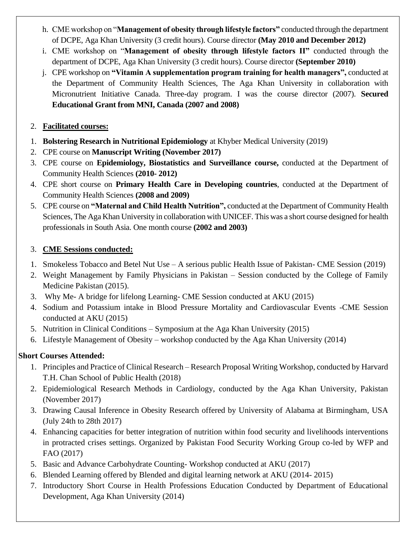- h. CME workshop on "**Management of obesity through lifestyle factors"** conducted through the department of DCPE, Aga Khan University (3 credit hours). Course director **(May 2010 and December 2012)**
- i. CME workshop on "**Management of obesity through lifestyle factors II"** conducted through the department of DCPE, Aga Khan University (3 credit hours). Course director **(September 2010)**
- j. CPE workshop on **"Vitamin A supplementation program training for health managers",** conducted at the Department of Community Health Sciences, The Aga Khan University in collaboration with Micronutrient Initiative Canada. Three-day program. I was the course director (2007). **Secured Educational Grant from MNI, Canada (2007 and 2008)**

# 2. **Facilitated courses:**

- 1. **Bolstering Research in Nutritional Epidemiology** at Khyber Medical University (2019)
- 2. CPE course on **Manuscript Writing (November 2017)**
- 3. CPE course on **Epidemiology, Biostatistics and Surveillance course,** conducted at the Department of Community Health Sciences **(2010- 2012)**
- 4. CPE short course on **Primary Health Care in Developing countries**, conducted at the Department of Community Health Sciences **(2008 and 2009)**
- 5. CPE course on **"Maternal and Child Health Nutrition",** conducted at the Department of Community Health Sciences, The Aga Khan University in collaboration with UNICEF. This was a short course designed for health professionals in South Asia. One month course **(2002 and 2003)**

# 3. **CME Sessions conducted:**

- 1. Smokeless Tobacco and Betel Nut Use A serious public Health Issue of Pakistan- CME Session (2019)
- 2. Weight Management by Family Physicians in Pakistan Session conducted by the College of Family Medicine Pakistan (2015).
- 3. Why Me- A bridge for lifelong Learning- CME Session conducted at AKU (2015)
- 4. Sodium and Potassium intake in Blood Pressure Mortality and Cardiovascular Events -CME Session conducted at AKU (2015)
- 5. Nutrition in Clinical Conditions Symposium at the Aga Khan University (2015)
- 6. Lifestyle Management of Obesity workshop conducted by the Aga Khan University (2014)

# **Short Courses Attended:**

- 1. Principles and Practice of Clinical Research Research Proposal Writing Workshop, conducted by Harvard T.H. Chan School of Public Health (2018)
- 2. Epidemiological Research Methods in Cardiology, conducted by the Aga Khan University, Pakistan (November 2017)
- 3. Drawing Causal Inference in Obesity Research offered by University of Alabama at Birmingham, USA (July 24th to 28th 2017)
- 4. Enhancing capacities for better integration of nutrition within food security and livelihoods interventions in protracted crises settings. Organized by Pakistan Food Security Working Group co-led by WFP and FAO (2017)
- 5. Basic and Advance Carbohydrate Counting- Workshop conducted at AKU (2017)
- 6. Blended Learning offered by Blended and digital learning network at AKU (2014- 2015)
- 7. Introductory Short Course in Health Professions Education Conducted by Department of Educational Development, Aga Khan University (2014)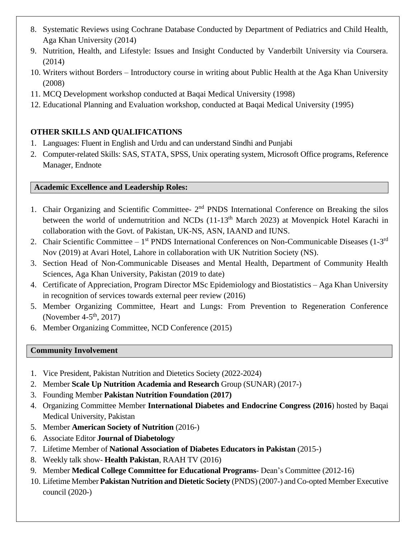- 8. Systematic Reviews using Cochrane Database Conducted by Department of Pediatrics and Child Health, Aga Khan University (2014)
- 9. Nutrition, Health, and Lifestyle: Issues and Insight Conducted by Vanderbilt University via Coursera. (2014)
- 10. Writers without Borders Introductory course in writing about Public Health at the Aga Khan University (2008)
- 11. MCQ Development workshop conducted at Baqai Medical University (1998)
- 12. Educational Planning and Evaluation workshop, conducted at Baqai Medical University (1995)

# **OTHER SKILLS AND QUALIFICATIONS**

- 1. Languages: Fluent in English and Urdu and can understand Sindhi and Punjabi
- 2. Computer-related Skills: SAS, STATA, SPSS, Unix operating system, Microsoft Office programs, Reference Manager, Endnote

# **Academic Excellence and Leadership Roles:**

- 1. Chair Organizing and Scientific Committee- 2<sup>nd</sup> PNDS International Conference on Breaking the silos between the world of undernutrition and NCDs (11-13<sup>th</sup> March 2023) at Movenpick Hotel Karachi in collaboration with the Govt. of Pakistan, UK-NS, ASN, IAAND and IUNS.
- 2. Chair Scientific Committee 1<sup>st</sup> PNDS International Conferences on Non-Communicable Diseases (1-3<sup>rd</sup>) Nov (2019) at Avari Hotel, Lahore in collaboration with UK Nutrition Society (NS).
- 3. Section Head of Non-Communicable Diseases and Mental Health, Department of Community Health Sciences, Aga Khan University, Pakistan (2019 to date)
- 4. Certificate of Appreciation, Program Director MSc Epidemiology and Biostatistics Aga Khan University in recognition of services towards external peer review (2016)
- 5. Member Organizing Committee, Heart and Lungs: From Prevention to Regeneration Conference (November 4-5<sup>th</sup>, 2017)
- 6. Member Organizing Committee, NCD Conference (2015)

## **Community Involvement**

- 1. Vice President, Pakistan Nutrition and Dietetics Society (2022-2024)
- 2. Member **Scale Up Nutrition Academia and Research** Group (SUNAR) (2017-)
- 3. Founding Member **Pakistan Nutrition Foundation (2017)**
- 4. Organizing Committee Member **International Diabetes and Endocrine Congress (2016**) hosted by Baqai Medical University, Pakistan
- 5. Member **American Society of Nutrition** (2016-)
- 6. Associate Editor **Journal of Diabetology**
- 7. Lifetime Member of **National Association of Diabetes Educators in Pakistan** (2015-)
- 8. Weekly talk show- **Health Pakistan**, RAAH TV (2016)
- 9. Member **Medical College Committee for Educational Programs** Dean's Committee (2012-16)
- 10. Lifetime Member **Pakistan Nutrition and Dietetic Society** (PNDS) (2007-) and Co-opted Member Executive council (2020-)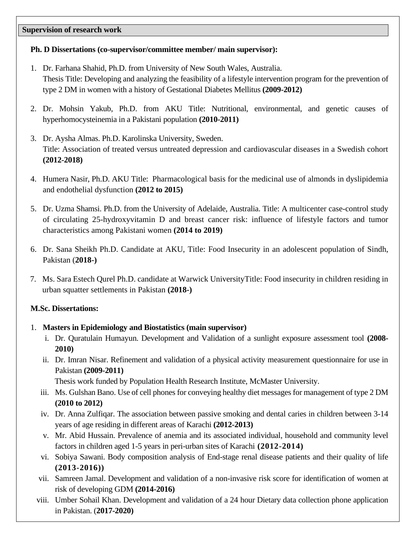#### **Supervision of research work**

### **Ph. D Dissertations (co-supervisor/committee member/ main supervisor):**

- 1. Dr. Farhana Shahid, Ph.D. from University of New South Wales, Australia. Thesis Title: Developing and analyzing the feasibility of a lifestyle intervention program for the prevention of type 2 DM in women with a history of Gestational Diabetes Mellitus **(2009-2012)**
- 2. Dr. Mohsin Yakub, Ph.D. from AKU Title: Nutritional, environmental, and genetic causes of hyperhomocysteinemia in a Pakistani population **(2010-2011)**
- 3. Dr. Aysha Almas. Ph.D. Karolinska University, Sweden. Title: Association of treated versus untreated depression and cardiovascular diseases in a Swedish cohort **(2012-2018)**
- 4. Humera Nasir, Ph.D. AKU Title: Pharmacological basis for the medicinal use of almonds in dyslipidemia and endothelial dysfunction **(2012 to 2015)**
- 5. Dr. Uzma Shamsi. Ph.D. from the University of Adelaide, Australia. Title: A multicenter case-control study of circulating 25-hydroxyvitamin D and breast cancer risk: influence of lifestyle factors and tumor characteristics among Pakistani women **(2014 to 2019)**
- 6. Dr. Sana Sheikh Ph.D. Candidate at AKU, Title: Food Insecurity in an adolescent population of Sindh, Pakistan (**2018-)**
- 7. Ms. Sara Estech Qurel Ph.D. candidate at Warwick UniversityTitle: Food insecurity in children residing in urban squatter settlements in Pakistan **(2018-)**

## **M.Sc. Dissertations:**

- 1. **Masters in Epidemiology and Biostatistics (main supervisor)**
	- i. Dr. Quratulain Humayun. Development and Validation of a sunlight exposure assessment tool **(2008- 2010)**
	- ii. Dr. Imran Nisar. Refinement and validation of a physical activity measurement questionnaire for use in Pakistan **(2009-2011)**

Thesis work funded by Population Health Research Institute, McMaster University.

- iii. Ms. Gulshan Bano. Use of cell phones for conveying healthy diet messages for management of type 2 DM **(2010 to 2012)**
- iv. Dr. Anna Zulfiqar. The association between passive smoking and dental caries in children between 3-14 years of age residing in different areas of Karachi **(2012-2013)**
- v. Mr. Abid Hussain. Prevalence of anemia and its associated individual, household and community level factors in children aged 1-5 years in peri-urban sites of Karachi **(2012-2014)**
- vi. Sobiya Sawani. Body composition analysis of End-stage renal disease patients and their quality of life **(2013-2016))**
- vii. Samreen Jamal. Development and validation of a non-invasive risk score for identification of women at risk of developing GDM **(2014-2016)**
- viii. Umber Sohail Khan. Development and validation of a 24 hour Dietary data collection phone application in Pakistan. (**2017-2020)**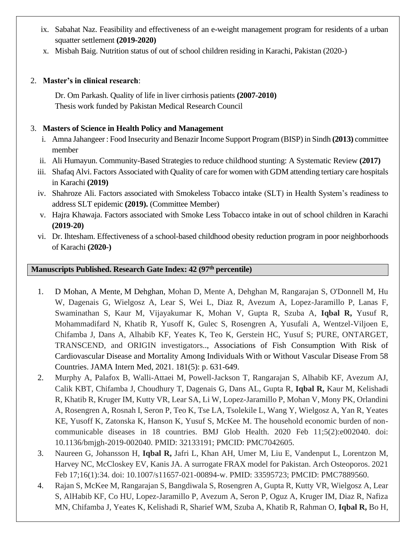- ix. Sabahat Naz. Feasibility and effectiveness of an e-weight management program for residents of a urban squatter settlement **(2019-2020)**
- x. Misbah Baig. Nutrition status of out of school children residing in Karachi, Pakistan (2020-)

## 2. **Master's in clinical research**:

Dr. Om Parkash. Quality of life in liver cirrhosis patients **(2007-2010)** Thesis work funded by Pakistan Medical Research Council

# 3. **Masters of Science in Health Policy and Management**

- i. Amna Jahangeer : Food Insecurity and Benazir Income Support Program (BISP) in Sindh **(2013)** committee member
- ii. Ali Humayun. Community-Based Strategies to reduce childhood stunting: A Systematic Review **(2017)**
- iii. Shafaq Alvi. Factors Associated with Quality of care for women with GDM attending tertiary care hospitals in Karachi **(2019)**
- iv. Shahroze Ali. Factors associated with Smokeless Tobacco intake (SLT) in Health System's readiness to address SLT epidemic **(2019).** (Committee Member)
- v. Hajra Khawaja. Factors associated with Smoke Less Tobacco intake in out of school children in Karachi **(2019-20)**
- vi. Dr. Ihtesham. Effectiveness of a school-based childhood obesity reduction program in poor neighborhoods of Karachi **(2020-)**

# **Manuscripts Published. Research Gate Index: 42 (97th percentile)**

- 1. [D Mohan,](https://scholar.google.com/citations?user=szVQDbsAAAAJ&hl=en&oi=sra) A Mente, [M Dehghan,](https://scholar.google.com/citations?user=CfruKGgAAAAJ&hl=en&oi=sra) Mohan D, Mente A, Dehghan M, Rangarajan S, O'Donnell M, Hu W, Dagenais G, Wielgosz A, Lear S, Wei L, Diaz R, Avezum A, Lopez-Jaramillo P, Lanas F, Swaminathan S, Kaur M, Vijayakumar K, Mohan V, Gupta R, Szuba A, **Iqbal R,** Yusuf R, Mohammadifard N, Khatib R, Yusoff K, Gulec S, Rosengren A, Yusufali A, Wentzel-Viljoen E, Chifamba J, Dans A, Alhabib KF, Yeates K, Teo K, Gerstein HC, Yusuf S; PURE, ONTARGET, TRANSCEND, and ORIGIN investigators.., Associations of Fish Consumption With Risk of Cardiovascular Disease and Mortality Among Individuals With or Without Vascular Disease From 58 Countries. JAMA Intern Med, 2021. 181(5): p. 631-649.
- 2. Murphy A, Palafox B, Walli-Attaei M, Powell-Jackson T, Rangarajan S, Alhabib KF, Avezum AJ, Calik KBT, Chifamba J, Choudhury T, Dagenais G, Dans AL, Gupta R, **Iqbal R,** Kaur M, Kelishadi R, Khatib R, Kruger IM, Kutty VR, Lear SA, Li W, Lopez-Jaramillo P, Mohan V, Mony PK, Orlandini A, Rosengren A, Rosnah I, Seron P, Teo K, Tse LA, Tsolekile L, Wang Y, Wielgosz A, Yan R, Yeates KE, Yusoff K, Zatonska K, Hanson K, Yusuf S, McKee M. The household economic burden of noncommunicable diseases in 18 countries. BMJ Glob Health. 2020 Feb 11;5(2):e002040. doi: 10.1136/bmjgh-2019-002040. PMID: 32133191; PMCID: PMC7042605.
- 3. Naureen G, Johansson H, **Iqbal R,** Jafri L, Khan AH, Umer M, Liu E, Vandenput L, Lorentzon M, Harvey NC, McCloskey EV, Kanis JA. A surrogate FRAX model for Pakistan. Arch Osteoporos. 2021 Feb 17;16(1):34. doi: 10.1007/s11657-021-00894-w. PMID: 33595723; PMCID: PMC7889560.
- 4. Rajan S, McKee M, Rangarajan S, Bangdiwala S, Rosengren A, Gupta R, Kutty VR, Wielgosz A, Lear S, AlHabib KF, Co HU, Lopez-Jaramillo P, Avezum A, Seron P, Oguz A, Kruger IM, Diaz R, Nafiza MN, Chifamba J, Yeates K, Kelishadi R, Sharief WM, Szuba A, Khatib R, Rahman O, **Iqbal R,** Bo H,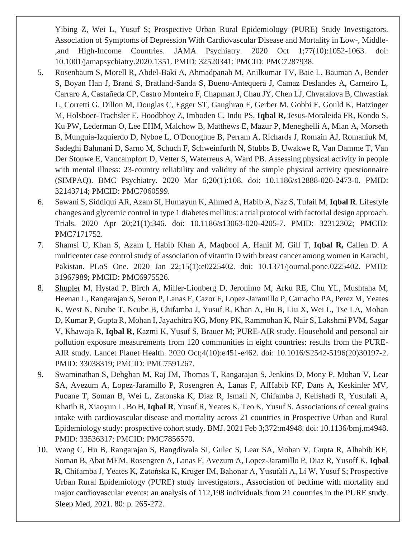Yibing Z, Wei L, Yusuf S; Prospective Urban Rural Epidemiology (PURE) Study Investigators. Association of Symptoms of Depression With Cardiovascular Disease and Mortality in Low-, Middle- ,and High-Income Countries. JAMA Psychiatry. 2020 Oct 1;77(10):1052-1063. doi: 10.1001/jamapsychiatry.2020.1351. PMID: 32520341; PMCID: PMC7287938.

- 5. Rosenbaum S, Morell R, Abdel-Baki A, Ahmadpanah M, Anilkumar TV, Baie L, Bauman A, Bender S, Boyan Han J, Brand S, Bratland-Sanda S, Bueno-Antequera J, Camaz Deslandes A, Carneiro L, Carraro A, Castañeda CP, Castro Monteiro F, Chapman J, Chau JY, Chen LJ, Chvatalova B, Chwastiak L, Corretti G, Dillon M, Douglas C, Egger ST, Gaughran F, Gerber M, Gobbi E, Gould K, Hatzinger M, Holsboer-Trachsler E, Hoodbhoy Z, Imboden C, Indu PS, **Iqbal R,** Jesus-Moraleida FR, Kondo S, Ku PW, Lederman O, Lee EHM, Malchow B, Matthews E, Mazur P, Meneghelli A, Mian A, Morseth B, Munguia-Izquierdo D, Nyboe L, O'Donoghue B, Perram A, Richards J, Romain AJ, Romaniuk M, Sadeghi Bahmani D, Sarno M, Schuch F, Schweinfurth N, Stubbs B, Uwakwe R, Van Damme T, Van Der Stouwe E, Vancampfort D, Vetter S, Waterreus A, Ward PB. Assessing physical activity in people with mental illness: 23-country reliability and validity of the simple physical activity questionnaire (SIMPAQ). BMC Psychiatry. 2020 Mar 6;20(1):108. doi: 10.1186/s12888-020-2473-0. PMID: 32143714; PMCID: PMC7060599.
- 6. Sawani S, Siddiqui AR, Azam SI, Humayun K, Ahmed A, Habib A, Naz S, Tufail M, **Iqbal R**. Lifestyle changes and glycemic control in type 1 diabetes mellitus: a trial protocol with factorial design approach. Trials. 2020 Apr 20;21(1):346. doi: 10.1186/s13063-020-4205-7. PMID: 32312302; PMCID: PMC7171752.
- 7. Shamsi U, Khan S, Azam I, Habib Khan A, Maqbool A, Hanif M, Gill T, **Iqbal R,** Callen D. A multicenter case control study of association of vitamin D with breast cancer among women in Karachi, Pakistan. PLoS One. 2020 Jan 22;15(1):e0225402. doi: 10.1371/journal.pone.0225402. PMID: 31967989; PMCID: PMC6975526.
- 8. Shupler M, Hystad P, Birch A, Miller-Lionberg D, Jeronimo M, Arku RE, Chu YL, Mushtaha M, Heenan L, Rangarajan S, Seron P, Lanas F, Cazor F, Lopez-Jaramillo P, Camacho PA, Perez M, Yeates K, West N, Ncube T, Ncube B, Chifamba J, Yusuf R, Khan A, Hu B, Liu X, Wei L, Tse LA, Mohan D, Kumar P, Gupta R, Mohan I, Jayachitra KG, Mony PK, Rammohan K, Nair S, Lakshmi PVM, Sagar V, Khawaja R, **Iqbal R**, Kazmi K, Yusuf S, Brauer M; PURE-AIR study. Household and personal air pollution exposure measurements from 120 communities in eight countries: results from the PURE-AIR study. Lancet Planet Health. 2020 Oct;4(10):e451-e462. doi: 10.1016/S2542-5196(20)30197-2. PMID: 33038319; PMCID: PMC7591267.
- 9. Swaminathan S, Dehghan M, Raj JM, Thomas T, Rangarajan S, Jenkins D, Mony P, Mohan V, Lear SA, Avezum A, Lopez-Jaramillo P, Rosengren A, Lanas F, AlHabib KF, Dans A, Keskinler MV, Puoane T, Soman B, Wei L, Zatonska K, Diaz R, Ismail N, Chifamba J, Kelishadi R, Yusufali A, Khatib R, Xiaoyun L, Bo H, **Iqbal R**, Yusuf R, Yeates K, Teo K, Yusuf S. Associations of cereal grains intake with cardiovascular disease and mortality across 21 countries in Prospective Urban and Rural Epidemiology study: prospective cohort study. BMJ. 2021 Feb 3;372:m4948. doi: 10.1136/bmj.m4948. PMID: 33536317; PMCID: PMC7856570.
- 10. Wang C, Hu B, Rangarajan S, Bangdiwala SI, Gulec S, Lear SA, Mohan V, Gupta R, Alhabib KF, Soman B, Abat MEM, Rosengren A, Lanas F, Avezum A, Lopez-Jaramillo P, Diaz R, Yusoff K, **Iqbal R**, Chifamba J, Yeates K, Zatońska K, Kruger IM, Bahonar A, Yusufali A, Li W, Yusuf S; Prospective Urban Rural Epidemiology (PURE) study investigators., Association of bedtime with mortality and major cardiovascular events: an analysis of 112,198 individuals from 21 countries in the PURE study. Sleep Med, 2021. 80: p. 265-272.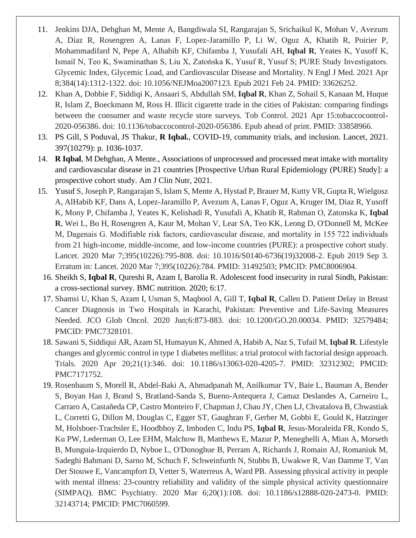- 11. Jenkins DJA, Dehghan M, Mente A, Bangdiwala SI, Rangarajan S, Srichaikul K, Mohan V, Avezum A, Díaz R, Rosengren A, Lanas F, Lopez-Jaramillo P, Li W, Oguz A, Khatib R, Poirier P, Mohammadifard N, Pepe A, Alhabib KF, Chifamba J, Yusufali AH, **Iqbal R**, Yeates K, Yusoff K, Ismail N, Teo K, Swaminathan S, Liu X, Zatońska K, Yusuf R, Yusuf S; PURE Study Investigators. Glycemic Index, Glycemic Load, and Cardiovascular Disease and Mortality. N Engl J Med. 2021 Apr 8;384(14):1312-1322. doi: 10.1056/NEJMoa2007123. Epub 2021 Feb 24. PMID: 33626252.
- 12. Khan A, Dobbie F, Siddiqi K, Ansaari S, Abdullah SM, **Iqbal R**, Khan Z, Sohail S, Kanaan M, Huque R, Islam Z, Boeckmann M, Ross H. Illicit cigarette trade in the cities of Pakistan: comparing findings between the consumer and waste recycle store surveys. Tob Control. 2021 Apr 15:tobaccocontrol-2020-056386. doi: 10.1136/tobaccocontrol-2020-056386. Epub ahead of print. PMID: 33858966.
- 13. [PS Gill,](https://scholar.google.com/citations?user=TfM8GxMAAAAJ&hl=en&oi=sra) S Poduval, [JS Thakur,](https://scholar.google.com/citations?user=gYwP-iEAAAAJ&hl=en&oi=sra) **R Iqbal.**, COVID-19, community trials, and inclusion. Lancet, 2021. 397(10279): p. 1036-1037.
- 14. **R Iqbal**, [M Dehghan,](https://scholar.google.com/citations?user=CfruKGgAAAAJ&hl=en&oi=sra) A Mente., Associations of unprocessed and processed meat intake with mortality and cardiovascular disease in 21 countries [Prospective Urban Rural Epidemiology (PURE) Study]: a prospective cohort study. Am J Clin Nutr, 2021.
- 15. Yusuf S, Joseph P, Rangarajan S, Islam S, Mente A, Hystad P, Brauer M, Kutty VR, Gupta R, Wielgosz A, AlHabib KF, Dans A, Lopez-Jaramillo P, Avezum A, Lanas F, Oguz A, Kruger IM, Diaz R, Yusoff K, Mony P, Chifamba J, Yeates K, Kelishadi R, Yusufali A, Khatib R, Rahman O, Zatonska K, **Iqbal R**, Wei L, Bo H, Rosengren A, Kaur M, Mohan V, Lear SA, Teo KK, Leong D, O'Donnell M, McKee M, Dagenais G. Modifiable risk factors, cardiovascular disease, and mortality in 155 722 individuals from 21 high-income, middle-income, and low-income countries (PURE): a prospective cohort study. Lancet. 2020 Mar 7;395(10226):795-808. doi: 10.1016/S0140-6736(19)32008-2. Epub 2019 Sep 3. Erratum in: Lancet. 2020 Mar 7;395(10226):784. PMID: 31492503; PMCID: PMC8006904.
	- 16. Sheikh S, **Iqbal R**, Qureshi R, Azam I, Barolia R. Adolescent food insecurity in rural Sindh, Pakistan: a cross-sectional survey. BMC nutrition. 2020; 6:17.
	- 17. Shamsi U, Khan S, Azam I, Usman S, Maqbool A, Gill T, **Iqbal R**, Callen D. Patient Delay in Breast Cancer Diagnosis in Two Hospitals in Karachi, Pakistan: Preventive and Life-Saving Measures Needed. JCO Glob Oncol. 2020 Jun;6:873-883. doi: 10.1200/GO.20.00034. PMID: 32579484; PMCID: PMC7328101.
	- 18. Sawani S, Siddiqui AR, Azam SI, Humayun K, Ahmed A, Habib A, Naz S, Tufail M, **Iqbal R**. Lifestyle changes and glycemic control in type 1 diabetes mellitus: a trial protocol with factorial design approach. Trials. 2020 Apr 20;21(1):346. doi: 10.1186/s13063-020-4205-7. PMID: 32312302; PMCID: PMC7171752.
	- 19. Rosenbaum S, Morell R, Abdel-Baki A, Ahmadpanah M, Anilkumar TV, Baie L, Bauman A, Bender S, Boyan Han J, Brand S, Bratland-Sanda S, Bueno-Antequera J, Camaz Deslandes A, Carneiro L, Carraro A, Castañeda CP, Castro Monteiro F, Chapman J, Chau JY, Chen LJ, Chvatalova B, Chwastiak L, Corretti G, Dillon M, Douglas C, Egger ST, Gaughran F, Gerber M, Gobbi E, Gould K, Hatzinger M, Holsboer-Trachsler E, Hoodbhoy Z, Imboden C, Indu PS, **Iqbal R**, Jesus-Moraleida FR, Kondo S, Ku PW, Lederman O, Lee EHM, Malchow B, Matthews E, Mazur P, Meneghelli A, Mian A, Morseth B, Munguia-Izquierdo D, Nyboe L, O'Donoghue B, Perram A, Richards J, Romain AJ, Romaniuk M, Sadeghi Bahmani D, Sarno M, Schuch F, Schweinfurth N, Stubbs B, Uwakwe R, Van Damme T, Van Der Stouwe E, Vancampfort D, Vetter S, Waterreus A, Ward PB. Assessing physical activity in people with mental illness: 23-country reliability and validity of the simple physical activity questionnaire (SIMPAQ). BMC Psychiatry. 2020 Mar 6;20(1):108. doi: 10.1186/s12888-020-2473-0. PMID: 32143714; PMCID: PMC7060599.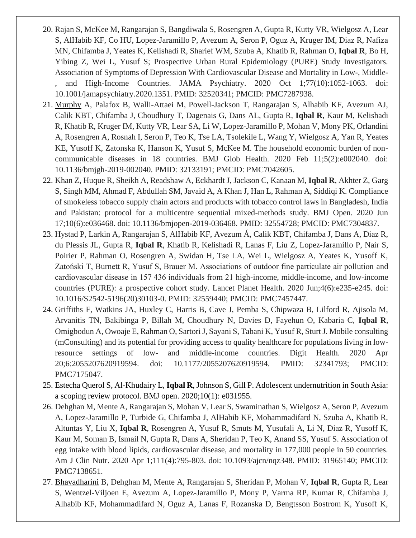- 20. Rajan S, McKee M, Rangarajan S, Bangdiwala S, Rosengren A, Gupta R, Kutty VR, Wielgosz A, Lear S, AlHabib KF, Co HU, Lopez-Jaramillo P, Avezum A, Seron P, Oguz A, Kruger IM, Diaz R, Nafiza MN, Chifamba J, Yeates K, Kelishadi R, Sharief WM, Szuba A, Khatib R, Rahman O, **Iqbal R**, Bo H, Yibing Z, Wei L, Yusuf S; Prospective Urban Rural Epidemiology (PURE) Study Investigators. Association of Symptoms of Depression With Cardiovascular Disease and Mortality in Low-, Middle- , and High-Income Countries. JAMA Psychiatry. 2020 Oct 1;77(10):1052-1063. doi: 10.1001/jamapsychiatry.2020.1351. PMID: 32520341; PMCID: PMC7287938.
- 21. Murphy A, Palafox B, Walli-Attaei M, Powell-Jackson T, Rangarajan S, Alhabib KF, Avezum AJ, Calik KBT, Chifamba J, Choudhury T, Dagenais G, Dans AL, Gupta R, **Iqbal R**, Kaur M, Kelishadi R, Khatib R, Kruger IM, Kutty VR, Lear SA, Li W, Lopez-Jaramillo P, Mohan V, Mony PK, Orlandini A, Rosengren A, Rosnah I, Seron P, Teo K, Tse LA, Tsolekile L, Wang Y, Wielgosz A, Yan R, Yeates KE, Yusoff K, Zatonska K, Hanson K, Yusuf S, McKee M. The household economic burden of noncommunicable diseases in 18 countries. BMJ Glob Health. 2020 Feb 11;5(2):e002040. doi: 10.1136/bmjgh-2019-002040. PMID: 32133191; PMCID: PMC7042605.
- 22. Khan Z, Huque R, Sheikh A, Readshaw A, Eckhardt J, Jackson C, Kanaan M, **Iqbal R**, Akhter Z, Garg S, Singh MM, Ahmad F, Abdullah SM, Javaid A, A Khan J, Han L, Rahman A, Siddiqi K. Compliance of smokeless tobacco supply chain actors and products with tobacco control laws in Bangladesh, India and Pakistan: protocol for a multicentre sequential mixed-methods study. BMJ Open. 2020 Jun 17;10(6):e036468. doi: 10.1136/bmjopen-2019-036468. PMID: 32554728; PMCID: PMC7304837.
- 23. Hystad P, Larkin A, Rangarajan S, AlHabib KF, Avezum Á, Calik KBT, Chifamba J, Dans A, Diaz R, du Plessis JL, Gupta R, **Iqbal R**, Khatib R, Kelishadi R, Lanas F, Liu Z, Lopez-Jaramillo P, Nair S, Poirier P, Rahman O, Rosengren A, Swidan H, Tse LA, Wei L, Wielgosz A, Yeates K, Yusoff K, Zatoński T, Burnett R, Yusuf S, Brauer M. Associations of outdoor fine particulate air pollution and cardiovascular disease in 157 436 individuals from 21 high-income, middle-income, and low-income countries (PURE): a prospective cohort study. Lancet Planet Health. 2020 Jun;4(6):e235-e245. doi: 10.1016/S2542-5196(20)30103-0. PMID: 32559440; PMCID: PMC7457447.
- 24. Griffiths F, Watkins JA, Huxley C, Harris B, Cave J, Pemba S, Chipwaza B, Lilford R, Ajisola M, Arvanitis TN, Bakibinga P, Billah M, Choudhury N, Davies D, Fayehun O, Kabaria C, **Iqbal R**, Omigbodun A, Owoaje E, Rahman O, Sartori J, Sayani S, Tabani K, Yusuf R, Sturt J. Mobile consulting (mConsulting) and its potential for providing access to quality healthcare for populations living in lowresource settings of low- and middle-income countries. Digit Health. 2020 Apr 20;6:2055207620919594. doi: 10.1177/2055207620919594. PMID: 32341793; PMCID: PMC7175047.
- 25. Estecha Querol S, Al-Khudairy L, **Iqbal R**, Johnson S, Gill P. Adolescent undernutrition in South Asia: a scoping review protocol. BMJ open. 2020;10(1): e031955.
- 26. Dehghan M, Mente A, Rangarajan S, Mohan V, Lear S, Swaminathan S, Wielgosz A, Seron P, Avezum A, Lopez-Jaramillo P, Turbide G, Chifamba J, AlHabib KF, Mohammadifard N, Szuba A, Khatib R, Altuntas Y, Liu X, **Iqbal R**, Rosengren A, Yusuf R, Smuts M, Yusufali A, Li N, Diaz R, Yusoff K, Kaur M, Soman B, Ismail N, Gupta R, Dans A, Sheridan P, Teo K, Anand SS, Yusuf S. Association of egg intake with blood lipids, cardiovascular disease, and mortality in 177,000 people in 50 countries. Am J Clin Nutr. 2020 Apr 1;111(4):795-803. doi: 10.1093/ajcn/nqz348. PMID: 31965140; PMCID: PMC7138651.
- 27. Bhavadharini B, Dehghan M, Mente A, Rangarajan S, Sheridan P, Mohan V, **Iqbal R**, Gupta R, Lear S, Wentzel-Viljoen E, Avezum A, Lopez-Jaramillo P, Mony P, Varma RP, Kumar R, Chifamba J, Alhabib KF, Mohammadifard N, Oguz A, Lanas F, Rozanska D, Bengtsson Bostrom K, Yusoff K,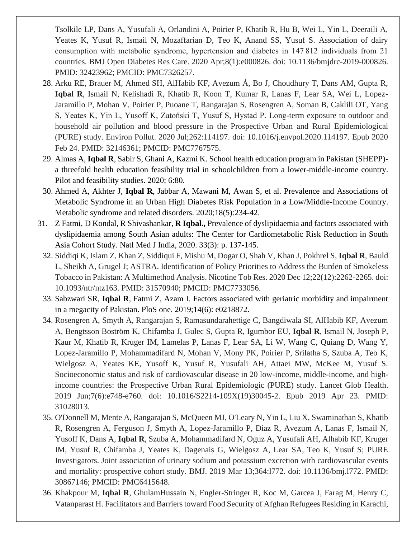Tsolkile LP, Dans A, Yusufali A, Orlandini A, Poirier P, Khatib R, Hu B, Wei L, Yin L, Deeraili A, Yeates K, Yusuf R, Ismail N, Mozaffarian D, Teo K, Anand SS, Yusuf S. Association of dairy consumption with metabolic syndrome, hypertension and diabetes in 147 812 individuals from 21 countries. BMJ Open Diabetes Res Care. 2020 Apr;8(1):e000826. doi: 10.1136/bmjdrc-2019-000826. PMID: 32423962; PMCID: PMC7326257.

- 28. Arku RE, Brauer M, Ahmed SH, AlHabib KF, Avezum Á, Bo J, Choudhury T, Dans AM, Gupta R, **Iqbal R**, Ismail N, Kelishadi R, Khatib R, Koon T, Kumar R, Lanas F, Lear SA, Wei L, Lopez-Jaramillo P, Mohan V, Poirier P, Puoane T, Rangarajan S, Rosengren A, Soman B, Caklili OT, Yang S, Yeates K, Yin L, Yusoff K, Zatoński T, Yusuf S, Hystad P. Long-term exposure to outdoor and household air pollution and blood pressure in the Prospective Urban and Rural Epidemiological (PURE) study. Environ Pollut. 2020 Jul;262:114197. doi: 10.1016/j.envpol.2020.114197. Epub 2020 Feb 24. PMID: 32146361; PMCID: PMC7767575.
- 29. Almas A, **Iqbal R**, Sabir S, Ghani A, Kazmi K. School health education program in Pakistan (SHEPP) a threefold health education feasibility trial in schoolchildren from a lower-middle-income country. Pilot and feasibility studies. 2020; 6:80.
- 30. Ahmed A, Akhter J, **Iqbal R**, Jabbar A, Mawani M, Awan S, et al. Prevalence and Associations of Metabolic Syndrome in an Urban High Diabetes Risk Population in a Low/Middle-Income Country. Metabolic syndrome and related disorders. 2020;18(5):234-42.
- 31. [Z Fatmi,](https://scholar.google.com/citations?user=lvclAekAAAAJ&hl=en&oi=sra) [D Kondal,](https://scholar.google.com/citations?user=iWbxJAsAAAAJ&hl=en&oi=sra) R Shivashankar, **R Iqbal.,** Prevalence of dyslipidaemia and factors associated with dyslipidaemia among South Asian adults: The Center for Cardiometabolic Risk Reduction in South Asia Cohort Study. Natl Med J India, 2020. 33(3): p. 137-145.
	- 32. Siddiqi K, Islam Z, Khan Z, Siddiqui F, Mishu M, Dogar O, Shah V, Khan J, Pokhrel S, **Iqbal R**, Bauld L, Sheikh A, Grugel J; ASTRA. Identification of Policy Priorities to Address the Burden of Smokeless Tobacco in Pakistan: A Multimethod Analysis. Nicotine Tob Res. 2020 Dec 12;22(12):2262-2265. doi: 10.1093/ntr/ntz163. PMID: 31570940; PMCID: PMC7733056.
	- 33. Sabzwari SR, **Iqbal R**, Fatmi Z, Azam I. Factors associated with geriatric morbidity and impairment in a megacity of Pakistan. PloS one. 2019;14(6): e0218872.
	- 34. Rosengren A, Smyth A, Rangarajan S, Ramasundarahettige C, Bangdiwala SI, AlHabib KF, Avezum A, Bengtsson Boström K, Chifamba J, Gulec S, Gupta R, Igumbor EU, **Iqbal R**, Ismail N, Joseph P, Kaur M, Khatib R, Kruger IM, Lamelas P, Lanas F, Lear SA, Li W, Wang C, Quiang D, Wang Y, Lopez-Jaramillo P, Mohammadifard N, Mohan V, Mony PK, Poirier P, Srilatha S, Szuba A, Teo K, Wielgosz A, Yeates KE, Yusoff K, Yusuf R, Yusufali AH, Attaei MW, McKee M, Yusuf S. Socioeconomic status and risk of cardiovascular disease in 20 low-income, middle-income, and highincome countries: the Prospective Urban Rural Epidemiologic (PURE) study. Lancet Glob Health. 2019 Jun;7(6):e748-e760. doi: 10.1016/S2214-109X(19)30045-2. Epub 2019 Apr 23. PMID: 31028013.
	- 35. O'Donnell M, Mente A, Rangarajan S, McQueen MJ, O'Leary N, Yin L, Liu X, Swaminathan S, Khatib R, Rosengren A, Ferguson J, Smyth A, Lopez-Jaramillo P, Diaz R, Avezum A, Lanas F, Ismail N, Yusoff K, Dans A, **Iqbal R**, Szuba A, Mohammadifard N, Oguz A, Yusufali AH, Alhabib KF, Kruger IM, Yusuf R, Chifamba J, Yeates K, Dagenais G, Wielgosz A, Lear SA, Teo K, Yusuf S; PURE Investigators. Joint association of urinary sodium and potassium excretion with cardiovascular events and mortality: prospective cohort study. BMJ. 2019 Mar 13;364:l772. doi: 10.1136/bmj.l772. PMID: 30867146; PMCID: PMC6415648.
	- 36. Khakpour M, **Iqbal R**, GhulamHussain N, Engler-Stringer R, Koc M, Garcea J, Farag M, Henry C, Vatanparast H. Facilitators and Barriers toward Food Security of Afghan Refugees Residing in Karachi,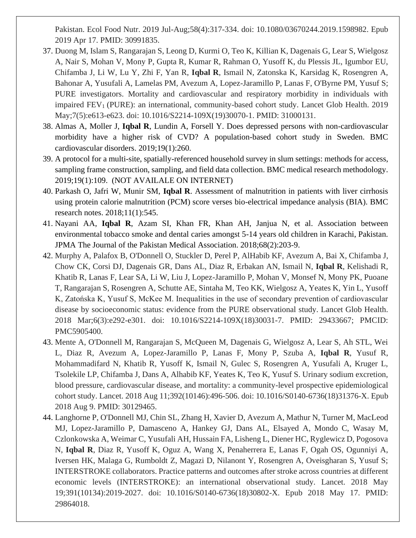Pakistan. Ecol Food Nutr. 2019 Jul-Aug;58(4):317-334. doi: 10.1080/03670244.2019.1598982. Epub 2019 Apr 17. PMID: 30991835.

- 37. Duong M, Islam S, Rangarajan S, Leong D, Kurmi O, Teo K, Killian K, Dagenais G, Lear S, Wielgosz A, Nair S, Mohan V, Mony P, Gupta R, Kumar R, Rahman O, Yusoff K, du Plessis JL, Igumbor EU, Chifamba J, Li W, Lu Y, Zhi F, Yan R, **Iqbal R**, Ismail N, Zatonska K, Karsidag K, Rosengren A, Bahonar A, Yusufali A, Lamelas PM, Avezum A, Lopez-Jaramillo P, Lanas F, O'Byrne PM, Yusuf S; PURE investigators. Mortality and cardiovascular and respiratory morbidity in individuals with impaired FEV<sup>1</sup> (PURE): an international, community-based cohort study. Lancet Glob Health. 2019 May;7(5):e613-e623. doi: 10.1016/S2214-109X(19)30070-1. PMID: 31000131.
- 38. Almas A, Moller J, **Iqbal R**, Lundin A, Forsell Y. Does depressed persons with non-cardiovascular morbidity have a higher risk of CVD? A population-based cohort study in Sweden. BMC cardiovascular disorders. 2019;19(1):260.
- 39. A protocol for a multi-site, spatially-referenced household survey in slum settings: methods for access, sampling frame construction, sampling, and field data collection. BMC medical research methodology. 2019;19(1):109. (NOT AVAILALE ON INTERNET)
- 40. Parkash O, Jafri W, Munir SM, **Iqbal R**. Assessment of malnutrition in patients with liver cirrhosis using protein calorie malnutrition (PCM) score verses bio-electrical impedance analysis (BIA). BMC research notes. 2018;11(1):545.
- 41. Nayani AA, **Iqbal R**, Azam SI, Khan FR, Khan AH, Janjua N, et al. Association between environmental tobacco smoke and dental caries amongst 5-14 years old children in Karachi, Pakistan. JPMA The Journal of the Pakistan Medical Association. 2018;68(2):203-9.
- 42. Murphy A, Palafox B, O'Donnell O, Stuckler D, Perel P, AlHabib KF, Avezum A, Bai X, Chifamba J, Chow CK, Corsi DJ, Dagenais GR, Dans AL, Diaz R, Erbakan AN, Ismail N, **Iqbal R**, Kelishadi R, Khatib R, Lanas F, Lear SA, Li W, Liu J, Lopez-Jaramillo P, Mohan V, Monsef N, Mony PK, Puoane T, Rangarajan S, Rosengren A, Schutte AE, Sintaha M, Teo KK, Wielgosz A, Yeates K, Yin L, Yusoff K, Zatońska K, Yusuf S, McKee M. Inequalities in the use of secondary prevention of cardiovascular disease by socioeconomic status: evidence from the PURE observational study. Lancet Glob Health. 2018 Mar;6(3):e292-e301. doi: 10.1016/S2214-109X(18)30031-7. PMID: 29433667; PMCID: PMC5905400.
- 43. Mente A, O'Donnell M, Rangarajan S, McQueen M, Dagenais G, Wielgosz A, Lear S, Ah STL, Wei L, Diaz R, Avezum A, Lopez-Jaramillo P, Lanas F, Mony P, Szuba A, **Iqbal R**, Yusuf R, Mohammadifard N, Khatib R, Yusoff K, Ismail N, Gulec S, Rosengren A, Yusufali A, Kruger L, Tsolekile LP, Chifamba J, Dans A, Alhabib KF, Yeates K, Teo K, Yusuf S. Urinary sodium excretion, blood pressure, cardiovascular disease, and mortality: a community-level prospective epidemiological cohort study. Lancet. 2018 Aug 11;392(10146):496-506. doi: 10.1016/S0140-6736(18)31376-X. Epub 2018 Aug 9. PMID: 30129465.
- 44. Langhorne P, O'Donnell MJ, Chin SL, Zhang H, Xavier D, Avezum A, Mathur N, Turner M, MacLeod MJ, Lopez-Jaramillo P, Damasceno A, Hankey GJ, Dans AL, Elsayed A, Mondo C, Wasay M, Czlonkowska A, Weimar C, Yusufali AH, Hussain FA, Lisheng L, Diener HC, Ryglewicz D, Pogosova N, **Iqbal R**, Diaz R, Yusoff K, Oguz A, Wang X, Penaherrera E, Lanas F, Ogah OS, Ogunniyi A, Iversen HK, Malaga G, Rumboldt Z, Magazi D, Nilanont Y, Rosengren A, Oveisgharan S, Yusuf S; INTERSTROKE collaborators. Practice patterns and outcomes after stroke across countries at different economic levels (INTERSTROKE): an international observational study. Lancet. 2018 May 19;391(10134):2019-2027. doi: 10.1016/S0140-6736(18)30802-X. Epub 2018 May 17. PMID: 29864018.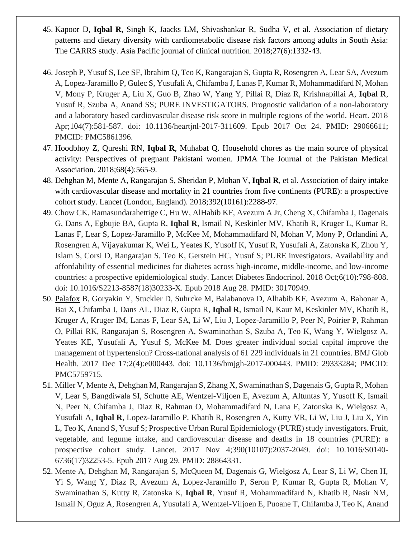- 45. Kapoor D, **Iqbal R**, Singh K, Jaacks LM, Shivashankar R, Sudha V, et al. Association of dietary patterns and dietary diversity with cardiometabolic disease risk factors among adults in South Asia: The CARRS study. Asia Pacific journal of clinical nutrition. 2018;27(6):1332-43.
- 46. Joseph P, Yusuf S, Lee SF, Ibrahim Q, Teo K, Rangarajan S, Gupta R, Rosengren A, Lear SA, Avezum A, Lopez-Jaramillo P, Gulec S, Yusufali A, Chifamba J, Lanas F, Kumar R, Mohammadifard N, Mohan V, Mony P, Kruger A, Liu X, Guo B, Zhao W, Yang Y, Pillai R, Diaz R, Krishnapillai A, **Iqbal R**, Yusuf R, Szuba A, Anand SS; PURE INVESTIGATORS. Prognostic validation of a non-laboratory and a laboratory based cardiovascular disease risk score in multiple regions of the world. Heart. 2018 Apr;104(7):581-587. doi: 10.1136/heartjnl-2017-311609. Epub 2017 Oct 24. PMID: 29066611; PMCID: PMC5861396.
- 47. Hoodbhoy Z, Qureshi RN, **Iqbal R**, Muhabat Q. Household chores as the main source of physical activity: Perspectives of pregnant Pakistani women. JPMA The Journal of the Pakistan Medical Association. 2018;68(4):565-9.
- 48. Dehghan M, Mente A, Rangarajan S, Sheridan P, Mohan V, **Iqbal R**, et al. Association of dairy intake with cardiovascular disease and mortality in 21 countries from five continents (PURE): a prospective cohort study. Lancet (London, England). 2018;392(10161):2288-97.
- 49. Chow CK, Ramasundarahettige C, Hu W, AlHabib KF, Avezum A Jr, Cheng X, Chifamba J, Dagenais G, Dans A, Egbujie BA, Gupta R, **Iqbal R**, Ismail N, Keskinler MV, Khatib R, Kruger L, Kumar R, Lanas F, Lear S, Lopez-Jaramillo P, McKee M, Mohammadifard N, Mohan V, Mony P, Orlandini A, Rosengren A, Vijayakumar K, Wei L, Yeates K, Yusoff K, Yusuf R, Yusufali A, Zatonska K, Zhou Y, Islam S, Corsi D, Rangarajan S, Teo K, Gerstein HC, Yusuf S; PURE investigators. Availability and affordability of essential medicines for diabetes across high-income, middle-income, and low-income countries: a prospective epidemiological study. Lancet Diabetes Endocrinol. 2018 Oct;6(10):798-808. doi: 10.1016/S2213-8587(18)30233-X. Epub 2018 Aug 28. PMID: 30170949.
- 50. Palafox B, Goryakin Y, Stuckler D, Suhrcke M, Balabanova D, Alhabib KF, Avezum A, Bahonar A, Bai X, Chifamba J, Dans AL, Diaz R, Gupta R, **Iqbal R**, Ismail N, Kaur M, Keskinler MV, Khatib R, Kruger A, Kruger IM, Lanas F, Lear SA, Li W, Liu J, Lopez-Jaramillo P, Peer N, Poirier P, Rahman O, Pillai RK, Rangarajan S, Rosengren A, Swaminathan S, Szuba A, Teo K, Wang Y, Wielgosz A, Yeates KE, Yusufali A, Yusuf S, McKee M. Does greater individual social capital improve the management of hypertension? Cross-national analysis of 61 229 individuals in 21 countries. BMJ Glob Health. 2017 Dec 17;2(4):e000443. doi: 10.1136/bmjgh-2017-000443. PMID: 29333284; PMCID: PMC5759715.
- 51. Miller V, Mente A, Dehghan M, Rangarajan S, Zhang X, Swaminathan S, Dagenais G, Gupta R, Mohan V, Lear S, Bangdiwala SI, Schutte AE, Wentzel-Viljoen E, Avezum A, Altuntas Y, Yusoff K, Ismail N, Peer N, Chifamba J, Diaz R, Rahman O, Mohammadifard N, Lana F, Zatonska K, Wielgosz A, Yusufali A, **Iqbal R**, Lopez-Jaramillo P, Khatib R, Rosengren A, Kutty VR, Li W, Liu J, Liu X, Yin L, Teo K, Anand S, Yusuf S; Prospective Urban Rural Epidemiology (PURE) study investigators. Fruit, vegetable, and legume intake, and cardiovascular disease and deaths in 18 countries (PURE): a prospective cohort study. Lancet. 2017 Nov 4;390(10107):2037-2049. doi: 10.1016/S0140- 6736(17)32253-5. Epub 2017 Aug 29. PMID: 28864331.
- 52. Mente A, Dehghan M, Rangarajan S, McQueen M, Dagenais G, Wielgosz A, Lear S, Li W, Chen H, Yi S, Wang Y, Diaz R, Avezum A, Lopez-Jaramillo P, Seron P, Kumar R, Gupta R, Mohan V, Swaminathan S, Kutty R, Zatonska K, **Iqbal R**, Yusuf R, Mohammadifard N, Khatib R, Nasir NM, Ismail N, Oguz A, Rosengren A, Yusufali A, Wentzel-Viljoen E, Puoane T, Chifamba J, Teo K, Anand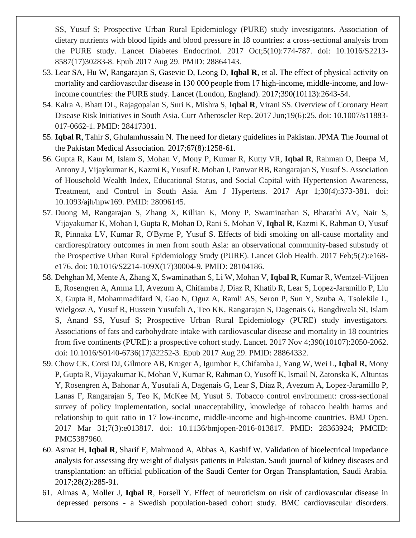SS, Yusuf S; Prospective Urban Rural Epidemiology (PURE) study investigators. Association of dietary nutrients with blood lipids and blood pressure in 18 countries: a cross-sectional analysis from the PURE study. Lancet Diabetes Endocrinol. 2017 Oct;5(10):774-787. doi: 10.1016/S2213- 8587(17)30283-8. Epub 2017 Aug 29. PMID: 28864143.

- 53. Lear SA, Hu W, Rangarajan S, Gasevic D, Leong D, **Iqbal R**, et al. The effect of physical activity on mortality and cardiovascular disease in 130 000 people from 17 high-income, middle-income, and lowincome countries: the PURE study. Lancet (London, England). 2017;390(10113):2643-54.
- 54. Kalra A, Bhatt DL, Rajagopalan S, Suri K, Mishra S, **Iqbal R**, Virani SS. Overview of Coronary Heart Disease Risk Initiatives in South Asia. Curr Atheroscler Rep. 2017 Jun;19(6):25. doi: 10.1007/s11883- 017-0662-1. PMID: 28417301.
- 55. **Iqbal R**, Tahir S, Ghulamhussain N. The need for dietary guidelines in Pakistan. JPMA The Journal of the Pakistan Medical Association. 2017;67(8):1258-61.
- 56. Gupta R, Kaur M, Islam S, Mohan V, Mony P, Kumar R, Kutty VR, **Iqbal R**, Rahman O, Deepa M, Antony J, Vijaykumar K, Kazmi K, Yusuf R, Mohan I, Panwar RB, Rangarajan S, Yusuf S. Association of Household Wealth Index, Educational Status, and Social Capital with Hypertension Awareness, Treatment, and Control in South Asia. Am J Hypertens. 2017 Apr 1;30(4):373-381. doi: 10.1093/ajh/hpw169. PMID: 28096145.
- 57. Duong M, Rangarajan S, Zhang X, Killian K, Mony P, Swaminathan S, Bharathi AV, Nair S, Vijayakumar K, Mohan I, Gupta R, Mohan D, Rani S, Mohan V, **Iqbal R**, Kazmi K, Rahman O, Yusuf R, Pinnaka LV, Kumar R, O'Byrne P, Yusuf S. Effects of bidi smoking on all-cause mortality and cardiorespiratory outcomes in men from south Asia: an observational community-based substudy of the Prospective Urban Rural Epidemiology Study (PURE). Lancet Glob Health. 2017 Feb;5(2):e168 e176. doi: 10.1016/S2214-109X(17)30004-9. PMID: 28104186.
- 58. Dehghan M, Mente A, Zhang X, Swaminathan S, Li W, Mohan V, **Iqbal R**, Kumar R, Wentzel-Viljoen E, Rosengren A, Amma LI, Avezum A, Chifamba J, Diaz R, Khatib R, Lear S, Lopez-Jaramillo P, Liu X, Gupta R, Mohammadifard N, Gao N, Oguz A, Ramli AS, Seron P, Sun Y, Szuba A, Tsolekile L, Wielgosz A, Yusuf R, Hussein Yusufali A, Teo KK, Rangarajan S, Dagenais G, Bangdiwala SI, Islam S, Anand SS, Yusuf S; Prospective Urban Rural Epidemiology (PURE) study investigators. Associations of fats and carbohydrate intake with cardiovascular disease and mortality in 18 countries from five continents (PURE): a prospective cohort study. Lancet. 2017 Nov 4;390(10107):2050-2062. doi: 10.1016/S0140-6736(17)32252-3. Epub 2017 Aug 29. PMID: 28864332.
- 59. Chow CK, Corsi DJ, Gilmore AB, Kruger A, Igumbor E, Chifamba J, Yang W, Wei L**, Iqbal R,** Mony P, Gupta R, Vijayakumar K, Mohan V, Kumar R, Rahman O, Yusoff K, Ismail N, Zatonska K, Altuntas Y, Rosengren A, Bahonar A, Yusufali A, Dagenais G, Lear S, Diaz R, Avezum A, Lopez-Jaramillo P, Lanas F, Rangarajan S, Teo K, McKee M, Yusuf S. Tobacco control environment: cross-sectional survey of policy implementation, social unacceptability, knowledge of tobacco health harms and relationship to quit ratio in 17 low-income, middle-income and high-income countries. BMJ Open. 2017 Mar 31;7(3):e013817. doi: 10.1136/bmjopen-2016-013817. PMID: 28363924; PMCID: PMC5387960.
- 60. Asmat H, **Iqbal R**, Sharif F, Mahmood A, Abbas A, Kashif W. Validation of bioelectrical impedance analysis for assessing dry weight of dialysis patients in Pakistan. Saudi journal of kidney diseases and transplantation: an official publication of the Saudi Center for Organ Transplantation, Saudi Arabia. 2017;28(2):285-91.
- 61. Almas A, Moller J, **Iqbal R**, Forsell Y. Effect of neuroticism on risk of cardiovascular disease in depressed persons - a Swedish population-based cohort study. BMC cardiovascular disorders.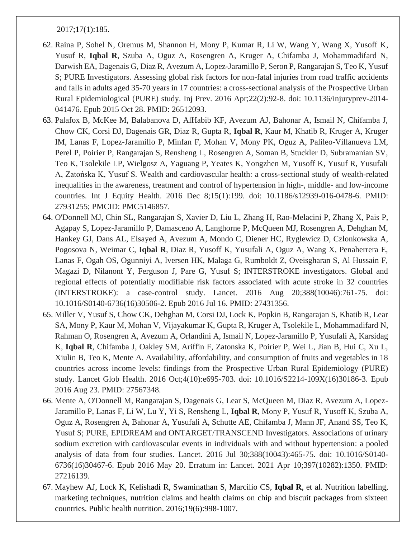2017;17(1):185.

- 62. Raina P, Sohel N, Oremus M, Shannon H, Mony P, Kumar R, Li W, Wang Y, Wang X, Yusoff K, Yusuf R, **Iqbal R**, Szuba A, Oguz A, Rosengren A, Kruger A, Chifamba J, Mohammadifard N, Darwish EA, Dagenais G, Diaz R, Avezum A, Lopez-Jaramillo P, Seron P, Rangarajan S, Teo K, Yusuf S; PURE Investigators. Assessing global risk factors for non-fatal injuries from road traffic accidents and falls in adults aged 35-70 years in 17 countries: a cross-sectional analysis of the Prospective Urban Rural Epidemiological (PURE) study. Inj Prev. 2016 Apr;22(2):92-8. doi: 10.1136/injuryprev-2014- 041476. Epub 2015 Oct 28. PMID: 26512093.
- 63. Palafox B, McKee M, Balabanova D, AlHabib KF, Avezum AJ, Bahonar A, Ismail N, Chifamba J, Chow CK, Corsi DJ, Dagenais GR, Diaz R, Gupta R, **Iqbal R**, Kaur M, Khatib R, Kruger A, Kruger IM, Lanas F, Lopez-Jaramillo P, Minfan F, Mohan V, Mony PK, Oguz A, Palileo-Villanueva LM, Perel P, Poirier P, Rangarajan S, Rensheng L, Rosengren A, Soman B, Stuckler D, Subramanian SV, Teo K, Tsolekile LP, Wielgosz A, Yaguang P, Yeates K, Yongzhen M, Yusoff K, Yusuf R, Yusufali A, Zatońska K, Yusuf S. Wealth and cardiovascular health: a cross-sectional study of wealth-related inequalities in the awareness, treatment and control of hypertension in high-, middle- and low-income countries. Int J Equity Health. 2016 Dec 8;15(1):199. doi: 10.1186/s12939-016-0478-6. PMID: 27931255; PMCID: PMC5146857.
- 64. O'Donnell MJ, Chin SL, Rangarajan S, Xavier D, Liu L, Zhang H, Rao-Melacini P, Zhang X, Pais P, Agapay S, Lopez-Jaramillo P, Damasceno A, Langhorne P, McQueen MJ, Rosengren A, Dehghan M, Hankey GJ, Dans AL, Elsayed A, Avezum A, Mondo C, Diener HC, Ryglewicz D, Czlonkowska A, Pogosova N, Weimar C, **Iqbal R**, Diaz R, Yusoff K, Yusufali A, Oguz A, Wang X, Penaherrera E, Lanas F, Ogah OS, Ogunniyi A, Iversen HK, Malaga G, Rumboldt Z, Oveisgharan S, Al Hussain F, Magazi D, Nilanont Y, Ferguson J, Pare G, Yusuf S; INTERSTROKE investigators. Global and regional effects of potentially modifiable risk factors associated with acute stroke in 32 countries (INTERSTROKE): a case-control study. Lancet. 2016 Aug 20;388(10046):761-75. doi: 10.1016/S0140-6736(16)30506-2. Epub 2016 Jul 16. PMID: 27431356.
- 65. Miller V, Yusuf S, Chow CK, Dehghan M, Corsi DJ, Lock K, Popkin B, Rangarajan S, Khatib R, Lear SA, Mony P, Kaur M, Mohan V, Vijayakumar K, Gupta R, Kruger A, Tsolekile L, Mohammadifard N, Rahman O, Rosengren A, Avezum A, Orlandini A, Ismail N, Lopez-Jaramillo P, Yusufali A, Karsidag K, **Iqbal R**, Chifamba J, Oakley SM, Ariffin F, Zatonska K, Poirier P, Wei L, Jian B, Hui C, Xu L, Xiulin B, Teo K, Mente A. Availability, affordability, and consumption of fruits and vegetables in 18 countries across income levels: findings from the Prospective Urban Rural Epidemiology (PURE) study. Lancet Glob Health. 2016 Oct;4(10):e695-703. doi: 10.1016/S2214-109X(16)30186-3. Epub 2016 Aug 23. PMID: 27567348.
- 66. Mente A, O'Donnell M, Rangarajan S, Dagenais G, Lear S, McQueen M, Diaz R, Avezum A, Lopez-Jaramillo P, Lanas F, Li W, Lu Y, Yi S, Rensheng L, **Iqbal R**, Mony P, Yusuf R, Yusoff K, Szuba A, Oguz A, Rosengren A, Bahonar A, Yusufali A, Schutte AE, Chifamba J, Mann JF, Anand SS, Teo K, Yusuf S; PURE, EPIDREAM and ONTARGET/TRANSCEND Investigators. Associations of urinary sodium excretion with cardiovascular events in individuals with and without hypertension: a pooled analysis of data from four studies. Lancet. 2016 Jul 30;388(10043):465-75. doi: 10.1016/S0140- 6736(16)30467-6. Epub 2016 May 20. Erratum in: Lancet. 2021 Apr 10;397(10282):1350. PMID: 27216139.
- 67. Mayhew AJ, Lock K, Kelishadi R, Swaminathan S, Marcilio CS, **Iqbal R**, et al. Nutrition labelling, marketing techniques, nutrition claims and health claims on chip and biscuit packages from sixteen countries. Public health nutrition. 2016;19(6):998-1007.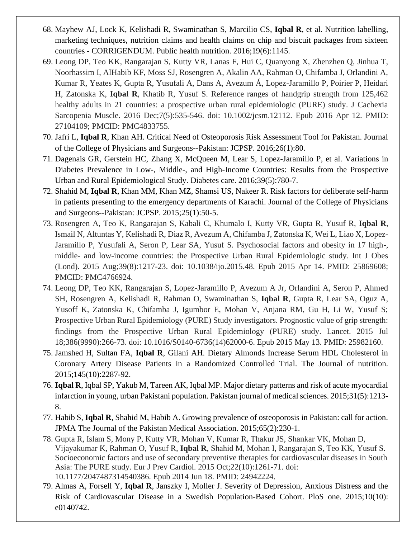- 68. Mayhew AJ, Lock K, Kelishadi R, Swaminathan S, Marcilio CS, **Iqbal R**, et al. Nutrition labelling, marketing techniques, nutrition claims and health claims on chip and biscuit packages from sixteen countries - CORRIGENDUM. Public health nutrition. 2016;19(6):1145.
- 69. Leong DP, Teo KK, Rangarajan S, Kutty VR, Lanas F, Hui C, Quanyong X, Zhenzhen Q, Jinhua T, Noorhassim I, AlHabib KF, Moss SJ, Rosengren A, Akalin AA, Rahman O, Chifamba J, Orlandini A, Kumar R, Yeates K, Gupta R, Yusufali A, Dans A, Avezum Á, Lopez-Jaramillo P, Poirier P, Heidari H, Zatonska K, **Iqbal R**, Khatib R, Yusuf S. Reference ranges of handgrip strength from 125,462 healthy adults in 21 countries: a prospective urban rural epidemiologic (PURE) study. J Cachexia Sarcopenia Muscle. 2016 Dec;7(5):535-546. doi: 10.1002/jcsm.12112. Epub 2016 Apr 12. PMID: 27104109; PMCID: PMC4833755.
- 70. Jafri L, **Iqbal R**, Khan AH. Critical Need of Osteoporosis Risk Assessment Tool for Pakistan. Journal of the College of Physicians and Surgeons--Pakistan: JCPSP. 2016;26(1):80.
- 71. Dagenais GR, Gerstein HC, Zhang X, McQueen M, Lear S, Lopez-Jaramillo P, et al. Variations in Diabetes Prevalence in Low-, Middle-, and High-Income Countries: Results from the Prospective Urban and Rural Epidemiological Study. Diabetes care. 2016;39(5):780-7.
- 72. Shahid M, **Iqbal R**, Khan MM, Khan MZ, Shamsi US, Nakeer R. Risk factors for deliberate self-harm in patients presenting to the emergency departments of Karachi. Journal of the College of Physicians and Surgeons--Pakistan: JCPSP. 2015;25(1):50-5.
- 73. Rosengren A, Teo K, Rangarajan S, Kabali C, Khumalo I, Kutty VR, Gupta R, Yusuf R, **Iqbal R**, Ismail N, Altuntas Y, Kelishadi R, Diaz R, Avezum A, Chifamba J, Zatonska K, Wei L, Liao X, Lopez-Jaramillo P, Yusufali A, Seron P, Lear SA, Yusuf S. Psychosocial factors and obesity in 17 high-, middle- and low-income countries: the Prospective Urban Rural Epidemiologic study. Int J Obes (Lond). 2015 Aug;39(8):1217-23. doi: 10.1038/ijo.2015.48. Epub 2015 Apr 14. PMID: 25869608; PMCID: PMC4766924.
- 74. Leong DP, Teo KK, Rangarajan S, Lopez-Jaramillo P, Avezum A Jr, Orlandini A, Seron P, Ahmed SH, Rosengren A, Kelishadi R, Rahman O, Swaminathan S, **Iqbal R**, Gupta R, Lear SA, Oguz A, Yusoff K, Zatonska K, Chifamba J, Igumbor E, Mohan V, Anjana RM, Gu H, Li W, Yusuf S; Prospective Urban Rural Epidemiology (PURE) Study investigators. Prognostic value of grip strength: findings from the Prospective Urban Rural Epidemiology (PURE) study. Lancet. 2015 Jul 18;386(9990):266-73. doi: 10.1016/S0140-6736(14)62000-6. Epub 2015 May 13. PMID: 25982160.
- 75. Jamshed H, Sultan FA, **Iqbal R**, Gilani AH. Dietary Almonds Increase Serum HDL Cholesterol in Coronary Artery Disease Patients in a Randomized Controlled Trial. The Journal of nutrition. 2015;145(10):2287-92.
- 76. **Iqbal R**, Iqbal SP, Yakub M, Tareen AK, Iqbal MP. Major dietary patterns and risk of acute myocardial infarction in young, urban Pakistani population. Pakistan journal of medical sciences. 2015;31(5):1213- 8.
- 77. Habib S, **Iqbal R**, Shahid M, Habib A. Growing prevalence of osteoporosis in Pakistan: call for action. JPMA The Journal of the Pakistan Medical Association. 2015;65(2):230-1.
- 78. Gupta R, Islam S, Mony P, Kutty VR, Mohan V, Kumar R, Thakur JS, Shankar VK, Mohan D, Vijayakumar K, Rahman O, Yusuf R, **Iqbal R**, Shahid M, Mohan I, Rangarajan S, Teo KK, Yusuf S. Socioeconomic factors and use of secondary preventive therapies for cardiovascular diseases in South Asia: The PURE study. Eur J Prev Cardiol. 2015 Oct;22(10):1261-71. doi: 10.1177/2047487314540386. Epub 2014 Jun 18. PMID: 24942224.
- 79. Almas A, Forsell Y, **Iqbal R**, Janszky I, Moller J. Severity of Depression, Anxious Distress and the Risk of Cardiovascular Disease in a Swedish Population-Based Cohort. PloS one. 2015;10(10): e0140742.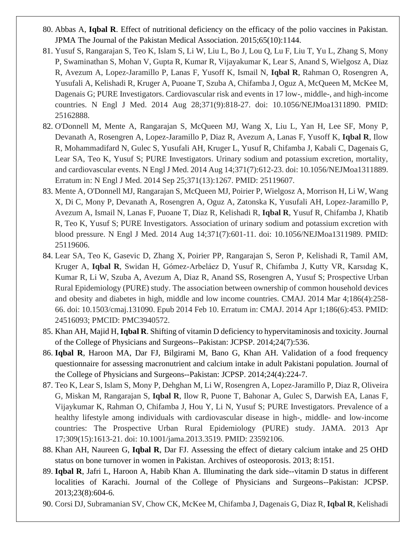- 80. Abbas A, **Iqbal R**. Effect of nutritional deficiency on the efficacy of the polio vaccines in Pakistan. JPMA The Journal of the Pakistan Medical Association. 2015;65(10):1144.
- 81. Yusuf S, Rangarajan S, Teo K, Islam S, Li W, Liu L, Bo J, Lou Q, Lu F, Liu T, Yu L, Zhang S, Mony P, Swaminathan S, Mohan V, Gupta R, Kumar R, Vijayakumar K, Lear S, Anand S, Wielgosz A, Diaz R, Avezum A, Lopez-Jaramillo P, Lanas F, Yusoff K, Ismail N, **Iqbal R**, Rahman O, Rosengren A, Yusufali A, Kelishadi R, Kruger A, Puoane T, Szuba A, Chifamba J, Oguz A, McQueen M, McKee M, Dagenais G; PURE Investigators. Cardiovascular risk and events in 17 low-, middle-, and high-income countries. N Engl J Med. 2014 Aug 28;371(9):818-27. doi: 10.1056/NEJMoa1311890. PMID: 25162888.
- 82. O'Donnell M, Mente A, Rangarajan S, McQueen MJ, Wang X, Liu L, Yan H, Lee SF, Mony P, Devanath A, Rosengren A, Lopez-Jaramillo P, Diaz R, Avezum A, Lanas F, Yusoff K, **Iqbal R**, Ilow R, Mohammadifard N, Gulec S, Yusufali AH, Kruger L, Yusuf R, Chifamba J, Kabali C, Dagenais G, Lear SA, Teo K, Yusuf S; PURE Investigators. Urinary sodium and potassium excretion, mortality, and cardiovascular events. N Engl J Med. 2014 Aug 14;371(7):612-23. doi: 10.1056/NEJMoa1311889. Erratum in: N Engl J Med. 2014 Sep 25;371(13):1267. PMID: 25119607.
- 83. Mente A, O'Donnell MJ, Rangarajan S, McQueen MJ, Poirier P, Wielgosz A, Morrison H, Li W, Wang X, Di C, Mony P, Devanath A, Rosengren A, Oguz A, Zatonska K, Yusufali AH, Lopez-Jaramillo P, Avezum A, Ismail N, Lanas F, Puoane T, Diaz R, Kelishadi R, **Iqbal R**, Yusuf R, Chifamba J, Khatib R, Teo K, Yusuf S; PURE Investigators. Association of urinary sodium and potassium excretion with blood pressure. N Engl J Med. 2014 Aug 14;371(7):601-11. doi: 10.1056/NEJMoa1311989. PMID: 25119606.
- 84. Lear SA, Teo K, Gasevic D, Zhang X, Poirier PP, Rangarajan S, Seron P, Kelishadi R, Tamil AM, Kruger A, **Iqbal R**, Swidan H, Gómez-Arbeláez D, Yusuf R, Chifamba J, Kutty VR, Karsıdag K, Kumar R, Li W, Szuba A, Avezum A, Diaz R, Anand SS, Rosengren A, Yusuf S; Prospective Urban Rural Epidemiology (PURE) study. The association between ownership of common household devices and obesity and diabetes in high, middle and low income countries. CMAJ. 2014 Mar 4;186(4):258- 66. doi: 10.1503/cmaj.131090. Epub 2014 Feb 10. Erratum in: CMAJ. 2014 Apr 1;186(6):453. PMID: 24516093; PMCID: PMC3940572.
- 85. Khan AH, Majid H, **Iqbal R**. Shifting of vitamin D deficiency to hypervitaminosis and toxicity. Journal of the College of Physicians and Surgeons--Pakistan: JCPSP. 2014;24(7):536.
- 86. **Iqbal R**, Haroon MA, Dar FJ, Bilgirami M, Bano G, Khan AH. Validation of a food frequency questionnaire for assessing macronutrient and calcium intake in adult Pakistani population. Journal of the College of Physicians and Surgeons--Pakistan: JCPSP. 2014;24(4):224-7.
- 87. Teo K, Lear S, Islam S, Mony P, Dehghan M, Li W, Rosengren A, Lopez-Jaramillo P, Diaz R, Oliveira G, Miskan M, Rangarajan S, **Iqbal R**, Ilow R, Puone T, Bahonar A, Gulec S, Darwish EA, Lanas F, Vijaykumar K, Rahman O, Chifamba J, Hou Y, Li N, Yusuf S; PURE Investigators. Prevalence of a healthy lifestyle among individuals with cardiovascular disease in high-, middle- and low-income countries: The Prospective Urban Rural Epidemiology (PURE) study. JAMA. 2013 Apr 17;309(15):1613-21. doi: 10.1001/jama.2013.3519. PMID: 23592106.
- 88. Khan AH, Naureen G, **Iqbal R**, Dar FJ. Assessing the effect of dietary calcium intake and 25 OHD status on bone turnover in women in Pakistan. Archives of osteoporosis. 2013; 8:151.
- 89. **Iqbal R**, Jafri L, Haroon A, Habib Khan A. Illuminating the dark side--vitamin D status in different localities of Karachi. Journal of the College of Physicians and Surgeons--Pakistan: JCPSP. 2013;23(8):604-6.
- 90. Corsi DJ, Subramanian SV, Chow CK, McKee M, Chifamba J, Dagenais G, Diaz R, **Iqbal R**, Kelishadi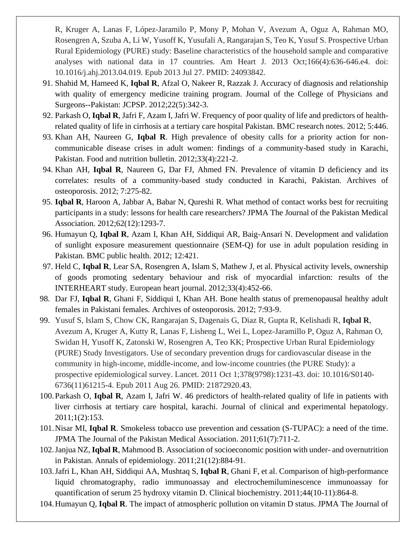R, Kruger A, Lanas F, López-Jaramilo P, Mony P, Mohan V, Avezum A, Oguz A, Rahman MO, Rosengren A, Szuba A, Li W, Yusoff K, Yusufali A, Rangarajan S, Teo K, Yusuf S. Prospective Urban Rural Epidemiology (PURE) study: Baseline characteristics of the household sample and comparative analyses with national data in 17 countries. Am Heart J. 2013 Oct;166(4):636-646.e4. doi: 10.1016/j.ahj.2013.04.019. Epub 2013 Jul 27. PMID: 24093842.

- 91. Shahid M, Hameed K, **Iqbal R**, Afzal O, Nakeer R, Razzak J. Accuracy of diagnosis and relationship with quality of emergency medicine training program. Journal of the College of Physicians and Surgeons--Pakistan: JCPSP. 2012;22(5):342-3.
- 92. Parkash O, **Iqbal R**, Jafri F, Azam I, Jafri W. Frequency of poor quality of life and predictors of healthrelated quality of life in cirrhosis at a tertiary care hospital Pakistan. BMC research notes. 2012; 5:446.
- 93. Khan AH, Naureen G, **Iqbal R**. High prevalence of obesity calls for a priority action for noncommunicable disease crises in adult women: findings of a community-based study in Karachi, Pakistan. Food and nutrition bulletin. 2012;33(4):221-2.
- 94. Khan AH, **Iqbal R**, Naureen G, Dar FJ, Ahmed FN. Prevalence of vitamin D deficiency and its correlates: results of a community-based study conducted in Karachi, Pakistan. Archives of osteoporosis. 2012; 7:275-82.
- 95. **Iqbal R**, Haroon A, Jabbar A, Babar N, Qureshi R. What method of contact works best for recruiting participants in a study: lessons for health care researchers? JPMA The Journal of the Pakistan Medical Association. 2012;62(12):1293-7.
- 96. Humayun Q, **Iqbal R**, Azam I, Khan AH, Siddiqui AR, Baig-Ansari N. Development and validation of sunlight exposure measurement questionnaire (SEM-Q) for use in adult population residing in Pakistan. BMC public health. 2012; 12:421.
- 97. Held C, **Iqbal R**, Lear SA, Rosengren A, Islam S, Mathew J, et al. Physical activity levels, ownership of goods promoting sedentary behaviour and risk of myocardial infarction: results of the INTERHEART study. European heart journal. 2012;33(4):452-66.
- 98. Dar FJ, **Iqbal R**, Ghani F, Siddiqui I, Khan AH. Bone health status of premenopausal healthy adult females in Pakistani females. Archives of osteoporosis. 2012; 7:93-9.
- 99. Yusuf S, Islam S, Chow CK, Rangarajan S, Dagenais G, Diaz R, Gupta R, Kelishadi R, **Iqbal R**, Avezum A, Kruger A, Kutty R, Lanas F, Lisheng L, Wei L, Lopez-Jaramillo P, Oguz A, Rahman O, Swidan H, Yusoff K, Zatonski W, Rosengren A, Teo KK; Prospective Urban Rural Epidemiology (PURE) Study Investigators. Use of secondary prevention drugs for cardiovascular disease in the community in high-income, middle-income, and low-income countries (the PURE Study): a prospective epidemiological survey. Lancet. 2011 Oct 1;378(9798):1231-43. doi: 10.1016/S0140- 6736(11)61215-4. Epub 2011 Aug 26. PMID: 21872920.43.
- 100.Parkash O, **Iqbal R**, Azam I, Jafri W. 46 predictors of health-related quality of life in patients with liver cirrhosis at tertiary care hospital, karachi. Journal of clinical and experimental hepatology. 2011;1(2):153.
- 101.Nisar MI, **Iqbal R**. Smokeless tobacco use prevention and cessation (S-TUPAC): a need of the time. JPMA The Journal of the Pakistan Medical Association. 2011;61(7):711-2.
- 102.Janjua NZ, **Iqbal R**, Mahmood B. Association of socioeconomic position with under- and overnutrition in Pakistan. Annals of epidemiology. 2011;21(12):884-91.
- 103.Jafri L, Khan AH, Siddiqui AA, Mushtaq S, **Iqbal R**, Ghani F, et al. Comparison of high-performance liquid chromatography, radio immunoassay and electrochemiluminescence immunoassay for quantification of serum 25 hydroxy vitamin D. Clinical biochemistry. 2011;44(10-11):864-8.
- 104.Humayun Q, **Iqbal R**. The impact of atmospheric pollution on vitamin D status. JPMA The Journal of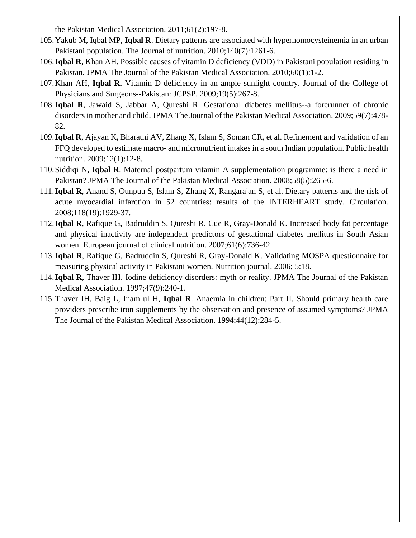the Pakistan Medical Association. 2011;61(2):197-8.

- 105.Yakub M, Iqbal MP, **Iqbal R**. Dietary patterns are associated with hyperhomocysteinemia in an urban Pakistani population. The Journal of nutrition. 2010;140(7):1261-6.
- 106.**Iqbal R**, Khan AH. Possible causes of vitamin D deficiency (VDD) in Pakistani population residing in Pakistan. JPMA The Journal of the Pakistan Medical Association. 2010;60(1):1-2.
- 107.Khan AH, **Iqbal R**. Vitamin D deficiency in an ample sunlight country. Journal of the College of Physicians and Surgeons--Pakistan: JCPSP. 2009;19(5):267-8.
- 108.**Iqbal R**, Jawaid S, Jabbar A, Qureshi R. Gestational diabetes mellitus--a forerunner of chronic disorders in mother and child. JPMA The Journal of the Pakistan Medical Association. 2009;59(7):478- 82.
- 109.**Iqbal R**, Ajayan K, Bharathi AV, Zhang X, Islam S, Soman CR, et al. Refinement and validation of an FFQ developed to estimate macro- and micronutrient intakes in a south Indian population. Public health nutrition. 2009;12(1):12-8.
- 110.Siddiqi N, **Iqbal R**. Maternal postpartum vitamin A supplementation programme: is there a need in Pakistan? JPMA The Journal of the Pakistan Medical Association. 2008;58(5):265-6.
- 111.**Iqbal R**, Anand S, Ounpuu S, Islam S, Zhang X, Rangarajan S, et al. Dietary patterns and the risk of acute myocardial infarction in 52 countries: results of the INTERHEART study. Circulation. 2008;118(19):1929-37.
- 112.**Iqbal R**, Rafique G, Badruddin S, Qureshi R, Cue R, Gray-Donald K. Increased body fat percentage and physical inactivity are independent predictors of gestational diabetes mellitus in South Asian women. European journal of clinical nutrition. 2007;61(6):736-42.
- 113.**Iqbal R**, Rafique G, Badruddin S, Qureshi R, Gray-Donald K. Validating MOSPA questionnaire for measuring physical activity in Pakistani women. Nutrition journal. 2006; 5:18.
- 114.**Iqbal R**, Thaver IH. Iodine deficiency disorders: myth or reality. JPMA The Journal of the Pakistan Medical Association. 1997;47(9):240-1.
- 115.Thaver IH, Baig L, Inam ul H, **Iqbal R**. Anaemia in children: Part II. Should primary health care providers prescribe iron supplements by the observation and presence of assumed symptoms? JPMA The Journal of the Pakistan Medical Association. 1994;44(12):284-5.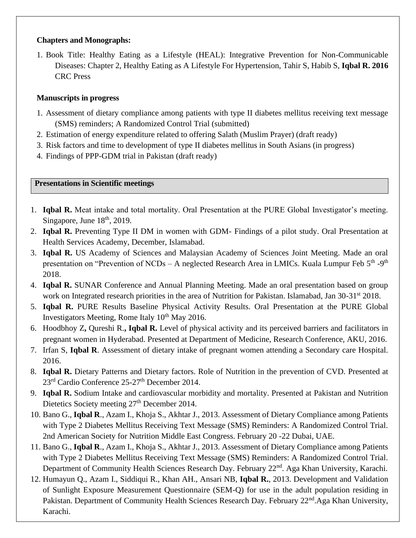### **Chapters and Monographs:**

1. Book Title: Healthy Eating as a Lifestyle (HEAL): Integrative Prevention for Non-Communicable Diseases: Chapter 2, Healthy Eating as A Lifestyle For Hypertension, Tahir S, Habib S, **Iqbal R. 2016**  CRC Press

## **Manuscripts in progress**

- 1. Assessment of dietary compliance among patients with type II diabetes mellitus receiving text message (SMS) reminders; A Randomized Control Trial (submitted)
- 2. Estimation of energy expenditure related to offering Salath (Muslim Prayer) (draft ready)
- 3. Risk factors and time to development of type II diabetes mellitus in South Asians (in progress)
- 4. Findings of PPP-GDM trial in Pakistan (draft ready)

## **Presentations in Scientific meetings**

- 1. **Iqbal R.** Meat intake and total mortality. Oral Presentation at the PURE Global Investigator's meeting. Singapore, June  $18<sup>th</sup>$ , 2019.
- 2. **Iqbal R.** Preventing Type II DM in women with GDM- Findings of a pilot study. Oral Presentation at Health Services Academy, December, Islamabad.
- 3. **Iqbal R.** US Academy of Sciences and Malaysian Academy of Sciences Joint Meeting. Made an oral presentation on "Prevention of NCDs – A neglected Research Area in LMICs. Kuala Lumpur Feb 5<sup>th</sup> -9<sup>th</sup> 2018.
- 4. **Iqbal R.** SUNAR Conference and Annual Planning Meeting. Made an oral presentation based on group work on Integrated research priorities in the area of Nutrition for Pakistan. Islamabad, Jan 30-31<sup>st</sup> 2018.
- 5. **Iqbal R.** PURE Results Baseline Physical Activity Results. Oral Presentation at the PURE Global Investigators Meeting, Rome Italy  $10<sup>th</sup>$  May 2016.
- 6. Hoodbhoy Z**,** Qureshi R.**, Iqbal R.** Level of physical activity and its perceived barriers and facilitators in pregnant women in Hyderabad. Presented at Department of Medicine, Research Conference, AKU, 2016.
- 7. Irfan S, **Iqbal R**. Assessment of dietary intake of pregnant women attending a Secondary care Hospital. 2016.
- 8. **Iqbal R.** Dietary Patterns and Dietary factors. Role of Nutrition in the prevention of CVD. Presented at 23<sup>rd</sup> Cardio Conference 25-27<sup>th</sup> December 2014.
- 9. **Iqbal R.** Sodium Intake and cardiovascular morbidity and mortality. Presented at Pakistan and Nutrition Dietetics Society meeting 27<sup>th</sup> December 2014.
- 10. Bano G., **Iqbal R**., Azam I., Khoja S., Akhtar J., 2013. Assessment of Dietary Compliance among Patients with Type 2 Diabetes Mellitus Receiving Text Message (SMS) Reminders: A Randomized Control Trial. 2nd American Society for Nutrition Middle East Congress. February 20 -22 Dubai, UAE.
- 11. Bano G., **Iqbal R**., Azam I., Khoja S., Akhtar J., 2013. Assessment of Dietary Compliance among Patients with Type 2 Diabetes Mellitus Receiving Text Message (SMS) Reminders: A Randomized Control Trial. Department of Community Health Sciences Research Day. February 22<sup>nd</sup>. Aga Khan University, Karachi.
- 12. Humayun Q., Azam I., Siddiqui R., Khan AH., Ansari NB, **Iqbal R.**, 2013. Development and Validation of Sunlight Exposure Measurement Questionnaire (SEM-Q) for use in the adult population residing in Pakistan. Department of Community Health Sciences Research Day. February 22<sup>nd</sup>. Aga Khan University, Karachi.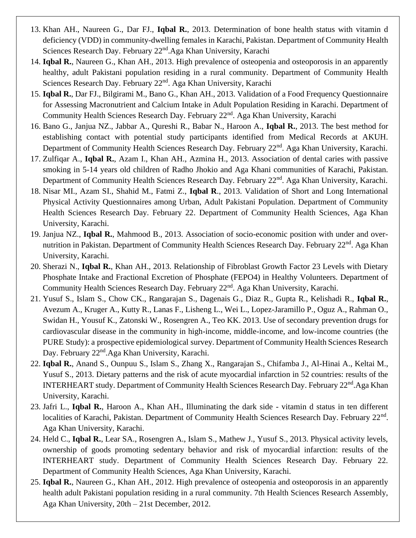- 13. Khan AH., Naureen G., Dar FJ., **Iqbal R.**, 2013. Determination of bone health status with vitamin d deficiency (VDD) in community-dwelling females in Karachi, Pakistan. Department of Community Health Sciences Research Day. February 22<sup>nd</sup>.Aga Khan University, Karachi
- 14. **Iqbal R.**, Naureen G., Khan AH., 2013. High prevalence of osteopenia and osteoporosis in an apparently healthy, adult Pakistani population residing in a rural community. Department of Community Health Sciences Research Day. February 22<sup>nd</sup>. Aga Khan University, Karachi
- 15. **Iqbal R.**, Dar FJ., Bilgirami M., Bano G., Khan AH., 2013. Validation of a Food Frequency Questionnaire for Assessing Macronutrient and Calcium Intake in Adult Population Residing in Karachi. Department of Community Health Sciences Research Day. February 22<sup>nd</sup>. Aga Khan University, Karachi
- 16. Bano G., Janjua NZ., Jabbar A., Qureshi R., Babar N., Haroon A., **Iqbal R.**, 2013. The best method for establishing contact with potential study participants identified from Medical Records at AKUH. Department of Community Health Sciences Research Day. February 22<sup>nd</sup>. Aga Khan University, Karachi.
- 17. Zulfiqar A., **Iqbal R.**, Azam I., Khan AH., Azmina H., 2013. Association of dental caries with passive smoking in 5-14 years old children of Radho Jhokio and Aga Khani communities of Karachi, Pakistan. Department of Community Health Sciences Research Day. February 22<sup>nd</sup>. Aga Khan University, Karachi.
- 18. Nisar MI., Azam SI., Shahid M., Fatmi Z., **Iqbal R**., 2013. Validation of Short and Long International Physical Activity Questionnaires among Urban, Adult Pakistani Population. Department of Community Health Sciences Research Day. February 22. Department of Community Health Sciences, Aga Khan University, Karachi.
- 19. Janjua NZ., **Iqbal R.**, Mahmood B., 2013. Association of socio-economic position with under and overnutrition in Pakistan. Department of Community Health Sciences Research Day. February 22<sup>nd</sup>. Aga Khan University, Karachi.
- 20. Sherazi N., **Iqbal R.**, Khan AH., 2013. Relationship of Fibroblast Growth Factor 23 Levels with Dietary Phosphate Intake and Fractional Excretion of Phosphate (FEPO4) in Healthy Volunteers. Department of Community Health Sciences Research Day. February 22<sup>nd</sup>. Aga Khan University, Karachi.
- 21. Yusuf S., Islam S., Chow CK., Rangarajan S., Dagenais G., Diaz R., Gupta R., Kelishadi R., **Iqbal R.**, Avezum A., Kruger A., Kutty R., Lanas F., Lisheng L., Wei L., Lopez-Jaramillo P., Oguz A., Rahman O., Swidan H., Yousuf K., Zatonski W., Rosengren A., Teo KK. 2013. Use of secondary prevention drugs for cardiovascular disease in the community in high-income, middle-income, and low-income countries (the PURE Study): a prospective epidemiological survey. Department of Community Health Sciences Research Day. February 22<sup>nd</sup>.Aga Khan University, Karachi.
- 22. **Iqbal R.**, Anand S., Ounpuu S., Islam S., Zhang X., Rangarajan S., Chifamba J., Al-Hinai A., Keltai M., Yusuf S., 2013. Dietary patterns and the risk of acute myocardial infarction in 52 countries: results of the INTERHEART study. Department of Community Health Sciences Research Day. February 22<sup>nd</sup>.Aga Khan University, Karachi.
- 23. Jafri L., **Iqbal R.**, Haroon A., Khan AH., Illuminating the dark side vitamin d status in ten different localities of Karachi, Pakistan. Department of Community Health Sciences Research Day. February 22<sup>nd</sup>. Aga Khan University, Karachi.
- 24. Held C., **Iqbal R.**, Lear SA., Rosengren A., Islam S., Mathew J., Yusuf S., 2013. Physical activity levels, ownership of goods promoting sedentary behavior and risk of myocardial infarction: results of the INTERHEART study. Department of Community Health Sciences Research Day. February 22. Department of Community Health Sciences, Aga Khan University, Karachi.
- 25. **Iqbal R.**, Naureen G., Khan AH., 2012. High prevalence of osteopenia and osteoporosis in an apparently health adult Pakistani population residing in a rural community. 7th Health Sciences Research Assembly, Aga Khan University, 20th – 21st December, 2012.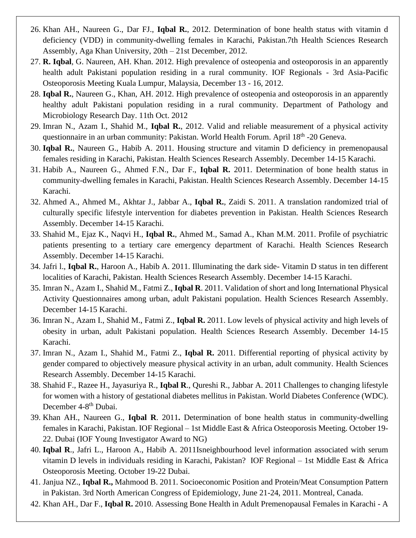- 26. Khan AH., Naureen G., Dar FJ., **Iqbal R.**, 2012. Determination of bone health status with vitamin d deficiency (VDD) in community-dwelling females in Karachi, Pakistan.7th Health Sciences Research Assembly, Aga Khan University, 20th – 21st December, 2012.
- 27. **R. Iqbal**, G. Naureen, AH. Khan. 2012. High prevalence of osteopenia and osteoporosis in an apparently health adult Pakistani population residing in a rural community. IOF Regionals - 3rd Asia-Pacific Osteoporosis Meeting Kuala Lumpur, Malaysia, December 13 - 16, 2012.
- 28. **Iqbal R.**, Naureen G., Khan, AH. 2012. High prevalence of osteopenia and osteoporosis in an apparently healthy adult Pakistani population residing in a rural community. Department of Pathology and Microbiology Research Day. 11th Oct. 2012
- 29. Imran N., Azam I., Shahid M., **Iqbal R.**, 2012. Valid and reliable measurement of a physical activity questionnaire in an urban community: Pakistan. World Health Forum. April 18<sup>th</sup> -20 Geneva.
- 30. **Iqbal R.**, Naureen G., Habib A. 2011. Housing structure and vitamin D deficiency in premenopausal females residing in Karachi, Pakistan. Health Sciences Research Assembly. December 14-15 Karachi.
- 31. Habib A., Naureen G., Ahmed F.N., Dar F., **Iqbal R.** 2011. Determination of bone health status in community-dwelling females in Karachi, Pakistan. Health Sciences Research Assembly. December 14-15 Karachi.
- 32. Ahmed A., Ahmed M., Akhtar J., Jabbar A., **Iqbal R.**, Zaidi S. 2011. A translation randomized trial of culturally specific lifestyle intervention for diabetes prevention in Pakistan. Health Sciences Research Assembly. December 14-15 Karachi.
- 33. Shahid M., Ejaz K., Naqvi H., **Iqbal R.**, Ahmed M., Samad A., Khan M.M. 2011. Profile of psychiatric patients presenting to a tertiary care emergency department of Karachi. Health Sciences Research Assembly. December 14-15 Karachi.
- 34. Jafri l., **Iqbal R.**, Haroon A., Habib A. 2011. Illuminating the dark side- Vitamin D status in ten different localities of Karachi, Pakistan. Health Sciences Research Assembly. December 14-15 Karachi.
- 35. Imran N., Azam I., Shahid M., Fatmi Z., **Iqbal R**. 2011. Validation of short and long International Physical Activity Questionnaires among urban, adult Pakistani population. Health Sciences Research Assembly. December 14-15 Karachi.
- 36. Imran N., Azam I., Shahid M., Fatmi Z., **Iqbal R.** 2011. Low levels of physical activity and high levels of obesity in urban, adult Pakistani population. Health Sciences Research Assembly. December 14-15 Karachi.
- 37. Imran N., Azam I., Shahid M., Fatmi Z., **Iqbal R.** 2011. Differential reporting of physical activity by gender compared to objectively measure physical activity in an urban, adult community. Health Sciences Research Assembly. December 14-15 Karachi.
- 38. Shahid F., Razee H., Jayasuriya R., **Iqbal R**., Qureshi R., Jabbar A. 2011 Challenges to changing lifestyle for women with a history of gestational diabetes mellitus in Pakistan. World Diabetes Conference (WDC). December 4-8<sup>th</sup> Dubai.
- 39. Khan AH., Naureen G., **Iqbal R**. 2011**.** Determination of bone health status in community-dwelling females in Karachi, Pakistan. IOF Regional – 1st Middle East & Africa Osteoporosis Meeting. October 19- 22. Dubai (IOF Young Investigator Award to NG)
- 40. **Iqbal R**., Jafri L., Haroon A., Habib A. 2011Isneighbourhood level information associated with serum vitamin D levels in individuals residing in Karachi, Pakistan? IOF Regional – 1st Middle East & Africa Osteoporosis Meeting. October 19-22 Dubai.
- 41. Janjua NZ., **Iqbal R.,** Mahmood B. 2011. Socioeconomic Position and Protein/Meat Consumption Pattern in Pakistan. 3rd North American Congress of Epidemiology, June 21-24, 2011. Montreal, Canada.
- 42. Khan AH., Dar F., **Iqbal R.** 2010. Assessing Bone Health in Adult Premenopausal Females in Karachi A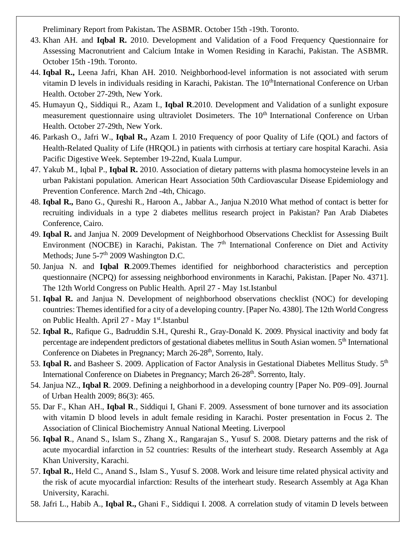Preliminary Report from Pakistan**.** The ASBMR. October 15th -19th. Toronto.

- 43. Khan AH. and **Iqbal R.** 2010. Development and Validation of a Food Frequency Questionnaire for Assessing Macronutrient and Calcium Intake in Women Residing in Karachi, Pakistan. The ASBMR. October 15th -19th. Toronto.
- 44. **Iqbal R.,** Leena Jafri, Khan AH. 2010. Neighborhood-level information is not associated with serum vitamin D levels in individuals residing in Karachi, Pakistan. The 10<sup>th</sup>International Conference on Urban Health. October 27-29th, New York.
- 45. Humayun Q., Siddiqui R., Azam I., **Iqbal R**.2010. Development and Validation of a sunlight exposure measurement questionnaire using ultraviolet Dosimeters. The 10<sup>th</sup> International Conference on Urban Health. October 27-29th, New York.
- 46. Parkash O., Jafri W., **Iqbal R.,** Azam I. 2010 Frequency of poor Quality of Life (QOL) and factors of Health-Related Quality of Life (HRQOL) in patients with cirrhosis at tertiary care hospital Karachi. Asia Pacific Digestive Week. September 19-22nd, Kuala Lumpur.
- 47. Yakub M., Iqbal P., **Iqbal R.** 2010. Association of dietary patterns with plasma homocysteine levels in an urban Pakistani population. American Heart Association 50th Cardiovascular Disease Epidemiology and Prevention Conference. March 2nd -4th, Chicago.
- 48. **Iqbal R.,** Bano G., Qureshi R., Haroon A., Jabbar A., Janjua N.2010 What method of contact is better for recruiting individuals in a type 2 diabetes mellitus research project in Pakistan? Pan Arab Diabetes Conference, Cairo.
- 49. **Iqbal R.** and Janjua N. 2009 Development of Neighborhood Observations Checklist for Assessing Built Environment (NOCBE) in Karachi, Pakistan. The  $7<sup>th</sup>$  International Conference on Diet and Activity Methods; June  $5\text{-}7^{\text{th}}$  2009 Washington D.C.
- 50. Janjua N. and **Iqbal R**.2009.Themes identified for neighborhood characteristics and perception questionnaire (NCPQ) for assessing neighborhood environments in Karachi, Pakistan. [Paper No. 4371]. The 12th World Congress on Public Health. April 27 - May 1st.Istanbul
- 51. **Iqbal R.** and Janjua N. Development of neighborhood observations checklist (NOC) for developing countries: Themes identified for a city of a developing country. [Paper No. 4380]. The 12th World Congress on Public Health. April 27 - May 1<sup>st</sup>.Istanbul
- 52. **Iqbal R.**, Rafique G., Badruddin S.H., Qureshi R., Gray-Donald K. 2009. Physical inactivity and body fat percentage are independent predictors of gestational diabetes mellitus in South Asian women. 5<sup>th</sup> International Conference on Diabetes in Pregnancy; March 26-28<sup>th</sup>, Sorrento, Italy.
- 53. **Iqbal R.** and Basheer S. 2009. Application of Factor Analysis in Gestational Diabetes Mellitus Study. 5<sup>th</sup> International Conference on Diabetes in Pregnancy; March 26-28<sup>th</sup>. Sorrento, Italy.
- 54. Janjua NZ., **Iqbal R**. 2009. Defining a neighborhood in a developing country [Paper No. P09–09]. Journal of Urban Health 2009; 86(3): 465.
- 55. Dar F., Khan AH., **Iqbal R**., Siddiqui I, Ghani F. 2009. Assessment of bone turnover and its association with vitamin D blood levels in adult female residing in Karachi. Poster presentation in Focus 2. The Association of Clinical Biochemistry Annual National Meeting. Liverpool
- 56. **Iqbal R**., Anand S., Islam S., Zhang X., Rangarajan S., Yusuf S. 2008. Dietary patterns and the risk of acute myocardial infarction in 52 countries: Results of the interheart study. Research Assembly at Aga Khan University, Karachi.
- 57. **Iqbal R.**, Held C., Anand S., Islam S., Yusuf S. 2008. Work and leisure time related physical activity and the risk of acute myocardial infarction: Results of the interheart study. Research Assembly at Aga Khan University, Karachi.
- 58. Jafri L., Habib A., **Iqbal R.,** Ghani F., Siddiqui I. 2008. A correlation study of vitamin D levels between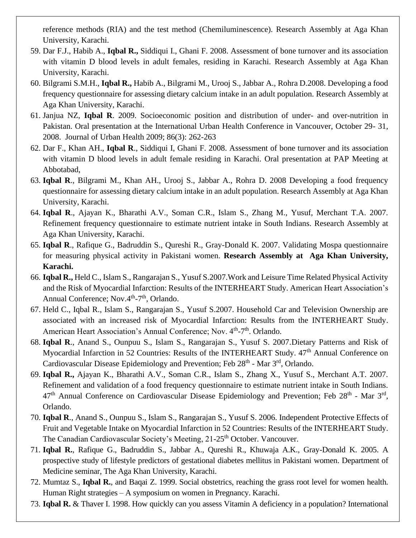reference methods (RIA) and the test method (Chemiluminescence). Research Assembly at Aga Khan University, Karachi.

- 59. Dar F.J., Habib A., **Iqbal R.,** Siddiqui I., Ghani F. 2008. Assessment of bone turnover and its association with vitamin D blood levels in adult females, residing in Karachi. Research Assembly at Aga Khan University, Karachi.
- 60. Bilgrami S.M.H., **Iqbal R.,** Habib A., Bilgrami M., Urooj S., Jabbar A., Rohra D.2008. Developing a food frequency questionnaire for assessing dietary calcium intake in an adult population. Research Assembly at Aga Khan University, Karachi.
- 61. Janjua NZ, **Iqbal R**. 2009. Socioeconomic position and distribution of under- and over-nutrition in Pakistan. Oral presentation at the International Urban Health Conference in Vancouver, October 29- 31, 2008. Journal of Urban Health 2009; 86(3): 262-263
- 62. Dar F., Khan AH., **Iqbal R**., Siddiqui I, Ghani F. 2008. Assessment of bone turnover and its association with vitamin D blood levels in adult female residing in Karachi. Oral presentation at PAP Meeting at Abbotabad,
- 63. **Iqbal R**., Bilgrami M., Khan AH., Urooj S., Jabbar A., Rohra D. 2008 Developing a food frequency questionnaire for assessing dietary calcium intake in an adult population. Research Assembly at Aga Khan University, Karachi.
- 64. **Iqbal R**., Ajayan K., Bharathi A.V., Soman C.R., Islam S., Zhang M., Yusuf, Merchant T.A. 2007. Refinement frequency questionnaire to estimate nutrient intake in South Indians. Research Assembly at Aga Khan University, Karachi.
- 65. **Iqbal R**., Rafique G., Badruddin S., Qureshi R., Gray-Donald K. 2007. Validating Mospa questionnaire for measuring physical activity in Pakistani women. **Research Assembly at Aga Khan University, Karachi.**
- 66. **Iqbal R.,** Held C., Islam S., Rangarajan S., Yusuf S.2007.Work and Leisure Time Related Physical Activity and the Risk of Myocardial Infarction: Results of the INTERHEART Study. American Heart Association's Annual Conference; Nov.4<sup>th</sup>-7<sup>th</sup>, Orlando.
- 67. Held C., Iqbal R., Islam S., Rangarajan S., Yusuf S.2007. Household Car and Television Ownership are associated with an increased risk of Myocardial Infarction: Results from the INTERHEART Study. American Heart Association's Annual Conference; Nov. 4th-7th. Orlando.
- 68. **Iqbal R**., Anand S., Ounpuu S., Islam S., Rangarajan S., Yusuf S. 2007.Dietary Patterns and Risk of Myocardial Infarction in 52 Countries: Results of the INTERHEART Study. 47<sup>th</sup> Annual Conference on Cardiovascular Disease Epidemiology and Prevention; Feb  $28<sup>th</sup>$  - Mar  $3<sup>rd</sup>$ , Orlando.
- 69. **Iqbal R.,** Ajayan K., Bharathi A.V., Soman C.R., Islam S., Zhang X., Yusuf S., Merchant A.T. 2007. Refinement and validation of a food frequency questionnaire to estimate nutrient intake in South Indians. 47<sup>th</sup> Annual Conference on Cardiovascular Disease Epidemiology and Prevention; Feb 28<sup>th</sup> - Mar 3<sup>rd</sup>, Orlando.
- 70. **Iqbal R**., Anand S., Ounpuu S., Islam S., Rangarajan S., Yusuf S. 2006. Independent Protective Effects of Fruit and Vegetable Intake on Myocardial Infarction in 52 Countries: Results of the INTERHEART Study. The Canadian Cardiovascular Society's Meeting, 21-25<sup>th</sup> October. Vancouver.
- 71. **Iqbal R.**, Rafique G., Badruddin S., Jabbar A., Qureshi R., Khuwaja A.K., Gray-Donald K. 2005. A prospective study of lifestyle predictors of gestational diabetes mellitus in Pakistani women. Department of Medicine seminar, The Aga Khan University, Karachi.
- 72. Mumtaz S., **Iqbal R.**, and Baqai Z. 1999. Social obstetrics, reaching the grass root level for women health. Human Right strategies – A symposium on women in Pregnancy. Karachi.
- 73. **Iqbal R.** & Thaver I. 1998. How quickly can you assess Vitamin A deficiency in a population? International